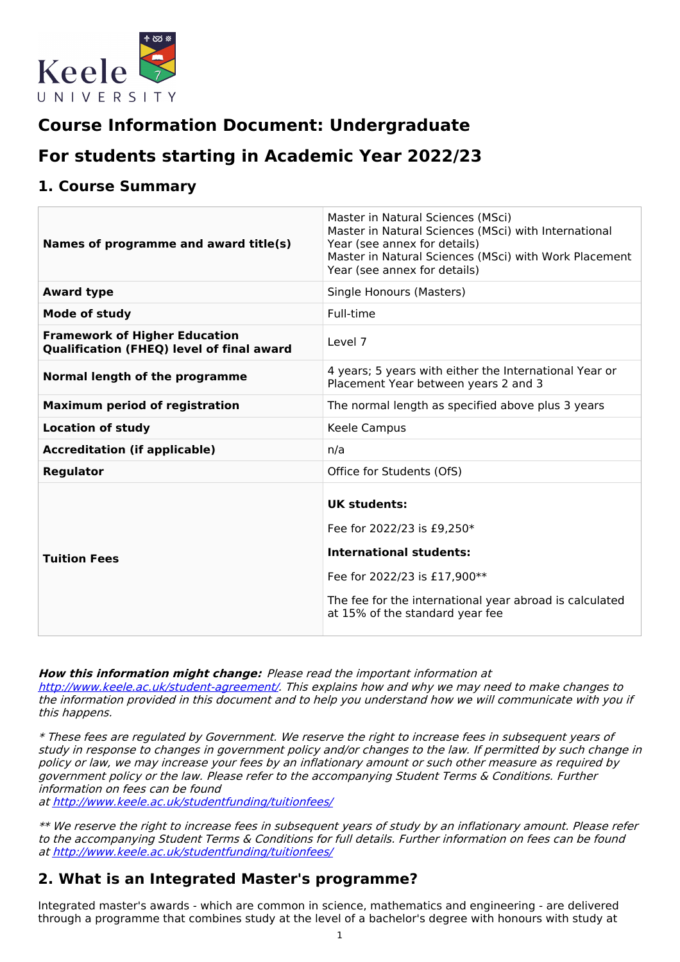

# **Course Information Document: Undergraduate**

# **For students starting in Academic Year 2022/23**

## **1. Course Summary**

| Names of programme and award title(s)                                                    | Master in Natural Sciences (MSci)<br>Master in Natural Sciences (MSci) with International<br>Year (see annex for details)<br>Master in Natural Sciences (MSci) with Work Placement<br>Year (see annex for details) |  |  |
|------------------------------------------------------------------------------------------|--------------------------------------------------------------------------------------------------------------------------------------------------------------------------------------------------------------------|--|--|
| <b>Award type</b>                                                                        | Single Honours (Masters)                                                                                                                                                                                           |  |  |
| <b>Mode of study</b>                                                                     | Full-time                                                                                                                                                                                                          |  |  |
| <b>Framework of Higher Education</b><br><b>Qualification (FHEQ) level of final award</b> | Level 7                                                                                                                                                                                                            |  |  |
| Normal length of the programme                                                           | 4 years; 5 years with either the International Year or<br>Placement Year between years 2 and 3                                                                                                                     |  |  |
| <b>Maximum period of registration</b>                                                    | The normal length as specified above plus 3 years                                                                                                                                                                  |  |  |
| <b>Location of study</b>                                                                 | Keele Campus                                                                                                                                                                                                       |  |  |
| <b>Accreditation (if applicable)</b>                                                     | n/a                                                                                                                                                                                                                |  |  |
| <b>Regulator</b>                                                                         | Office for Students (OfS)                                                                                                                                                                                          |  |  |
| <b>Tuition Fees</b>                                                                      | <b>UK students:</b><br>Fee for 2022/23 is £9,250*<br><b>International students:</b><br>Fee for 2022/23 is £17,900**<br>The fee for the international year abroad is calculated<br>at 15% of the standard year fee  |  |  |

**How this information might change:** Please read the important information at

<http://www.keele.ac.uk/student-agreement/>. This explains how and why we may need to make changes to the information provided in this document and to help you understand how we will communicate with you if this happens.

\* These fees are regulated by Government. We reserve the right to increase fees in subsequent years of study in response to changes in government policy and/or changes to the law. If permitted by such change in policy or law, we may increase your fees by an inflationary amount or such other measure as required by government policy or the law. Please refer to the accompanying Student Terms & Conditions. Further information on fees can be found

at <http://www.keele.ac.uk/studentfunding/tuitionfees/>

\*\* We reserve the right to increase fees in subsequent years of study by an inflationary amount. Please refer to the accompanying Student Terms & Conditions for full details. Further information on fees can be found at <http://www.keele.ac.uk/studentfunding/tuitionfees/>

# **2. What is an Integrated Master's programme?**

Integrated master's awards - which are common in science, mathematics and engineering - are delivered through a programme that combines study at the level of a bachelor's degree with honours with study at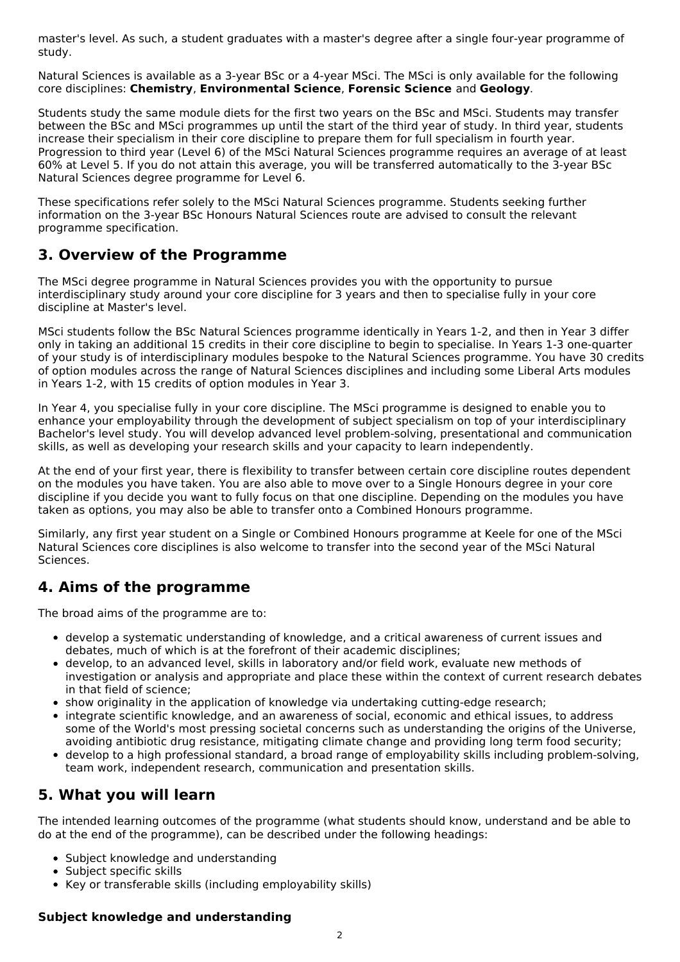master's level. As such, a student graduates with a master's degree after a single four-year programme of study.

Natural Sciences is available as a 3-year BSc or a 4-year MSci. The MSci is only available for the following core disciplines: **Chemistry**, **Environmental Science**, **Forensic Science** and **Geology**.

Students study the same module diets for the first two years on the BSc and MSci. Students may transfer between the BSc and MSci programmes up until the start of the third year of study. In third year, students increase their specialism in their core discipline to prepare them for full specialism in fourth year. Progression to third year (Level 6) of the MSci Natural Sciences programme requires an average of at least 60% at Level 5. If you do not attain this average, you will be transferred automatically to the 3-year BSc Natural Sciences degree programme for Level 6.

These specifications refer solely to the MSci Natural Sciences programme. Students seeking further information on the 3-year BSc Honours Natural Sciences route are advised to consult the relevant programme specification.

## **3. Overview of the Programme**

The MSci degree programme in Natural Sciences provides you with the opportunity to pursue interdisciplinary study around your core discipline for 3 years and then to specialise fully in your core discipline at Master's level.

MSci students follow the BSc Natural Sciences programme identically in Years 1-2, and then in Year 3 differ only in taking an additional 15 credits in their core discipline to begin to specialise. In Years 1-3 one-quarter of your study is of interdisciplinary modules bespoke to the Natural Sciences programme. You have 30 credits of option modules across the range of Natural Sciences disciplines and including some Liberal Arts modules in Years 1-2, with 15 credits of option modules in Year 3.

In Year 4, you specialise fully in your core discipline. The MSci programme is designed to enable you to enhance your employability through the development of subject specialism on top of your interdisciplinary Bachelor's level study. You will develop advanced level problem-solving, presentational and communication skills, as well as developing your research skills and your capacity to learn independently.

At the end of your first year, there is flexibility to transfer between certain core discipline routes dependent on the modules you have taken. You are also able to move over to a Single Honours degree in your core discipline if you decide you want to fully focus on that one discipline. Depending on the modules you have taken as options, you may also be able to transfer onto a Combined Honours programme.

Similarly, any first year student on a Single or Combined Honours programme at Keele for one of the MSci Natural Sciences core disciplines is also welcome to transfer into the second year of the MSci Natural Sciences.

## **4. Aims of the programme**

The broad aims of the programme are to:

- develop a systematic understanding of knowledge, and a critical awareness of current issues and debates, much of which is at the forefront of their academic disciplines;
- develop, to an advanced level, skills in laboratory and/or field work, evaluate new methods of investigation or analysis and appropriate and place these within the context of current research debates in that field of science;
- show originality in the application of knowledge via undertaking cutting-edge research;
- integrate scientific knowledge, and an awareness of social, economic and ethical issues, to address some of the World's most pressing societal concerns such as understanding the origins of the Universe, avoiding antibiotic drug resistance, mitigating climate change and providing long term food security;
- develop to a high professional standard, a broad range of employability skills including problem-solving, team work, independent research, communication and presentation skills.

# **5. What you will learn**

The intended learning outcomes of the programme (what students should know, understand and be able to do at the end of the programme), can be described under the following headings:

- Subject knowledge and understanding
- Subject specific skills
- Key or transferable skills (including employability skills)

## **Subject knowledge and understanding**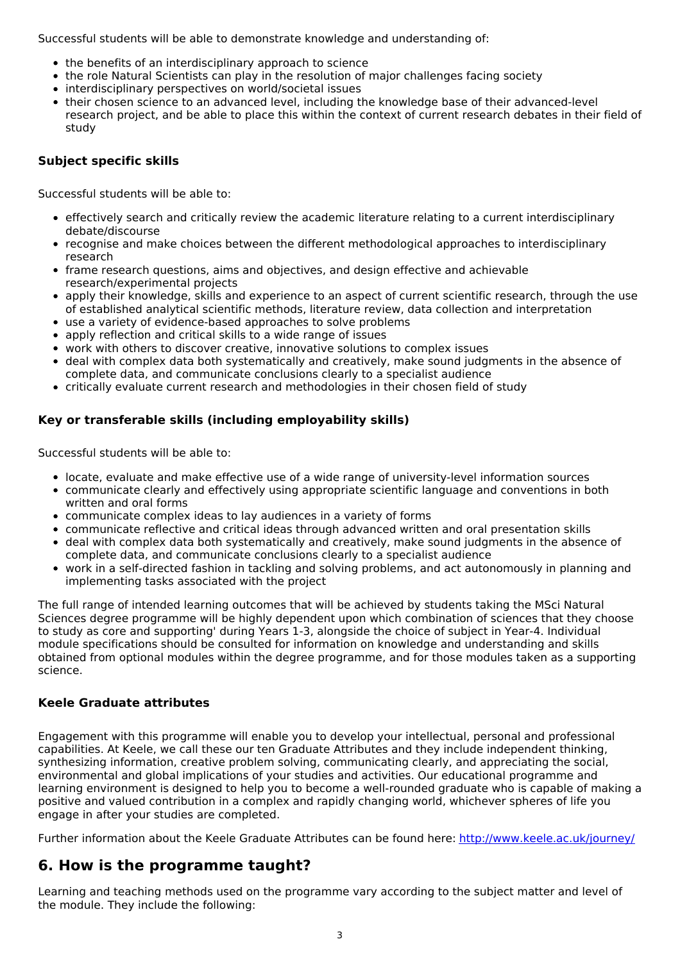Successful students will be able to demonstrate knowledge and understanding of:

- the benefits of an interdisciplinary approach to science
- the role Natural Scientists can play in the resolution of major challenges facing society
- interdisciplinary perspectives on world/societal issues
- their chosen science to an advanced level, including the knowledge base of their advanced-level research project, and be able to place this within the context of current research debates in their field of study

## **Subject specific skills**

Successful students will be able to:

- effectively search and critically review the academic literature relating to a current interdisciplinary debate/discourse
- recognise and make choices between the different methodological approaches to interdisciplinary research
- frame research questions, aims and objectives, and design effective and achievable research/experimental projects
- apply their knowledge, skills and experience to an aspect of current scientific research, through the use of established analytical scientific methods, literature review, data collection and interpretation
- use a variety of evidence-based approaches to solve problems
- apply reflection and critical skills to a wide range of issues
- work with others to discover creative, innovative solutions to complex issues
- deal with complex data both systematically and creatively, make sound judgments in the absence of complete data, and communicate conclusions clearly to a specialist audience
- critically evaluate current research and methodologies in their chosen field of study

## **Key or transferable skills (including employability skills)**

Successful students will be able to:

- locate, evaluate and make effective use of a wide range of university-level information sources
- communicate clearly and effectively using appropriate scientific language and conventions in both written and oral forms
- communicate complex ideas to lay audiences in a variety of forms
- communicate reflective and critical ideas through advanced written and oral presentation skills
- deal with complex data both systematically and creatively, make sound judgments in the absence of complete data, and communicate conclusions clearly to a specialist audience
- work in a self-directed fashion in tackling and solving problems, and act autonomously in planning and implementing tasks associated with the project

The full range of intended learning outcomes that will be achieved by students taking the MSci Natural Sciences degree programme will be highly dependent upon which combination of sciences that they choose to study as core and supporting' during Years 1-3, alongside the choice of subject in Year-4. Individual module specifications should be consulted for information on knowledge and understanding and skills obtained from optional modules within the degree programme, and for those modules taken as a supporting science.

## **Keele Graduate attributes**

Engagement with this programme will enable you to develop your intellectual, personal and professional capabilities. At Keele, we call these our ten Graduate Attributes and they include independent thinking, synthesizing information, creative problem solving, communicating clearly, and appreciating the social, environmental and global implications of your studies and activities. Our educational programme and learning environment is designed to help you to become a well-rounded graduate who is capable of making a positive and valued contribution in a complex and rapidly changing world, whichever spheres of life you engage in after your studies are completed.

Further information about the Keele Graduate Attributes can be found here: <http://www.keele.ac.uk/journey/>

## **6. How is the programme taught?**

Learning and teaching methods used on the programme vary according to the subject matter and level of the module. They include the following: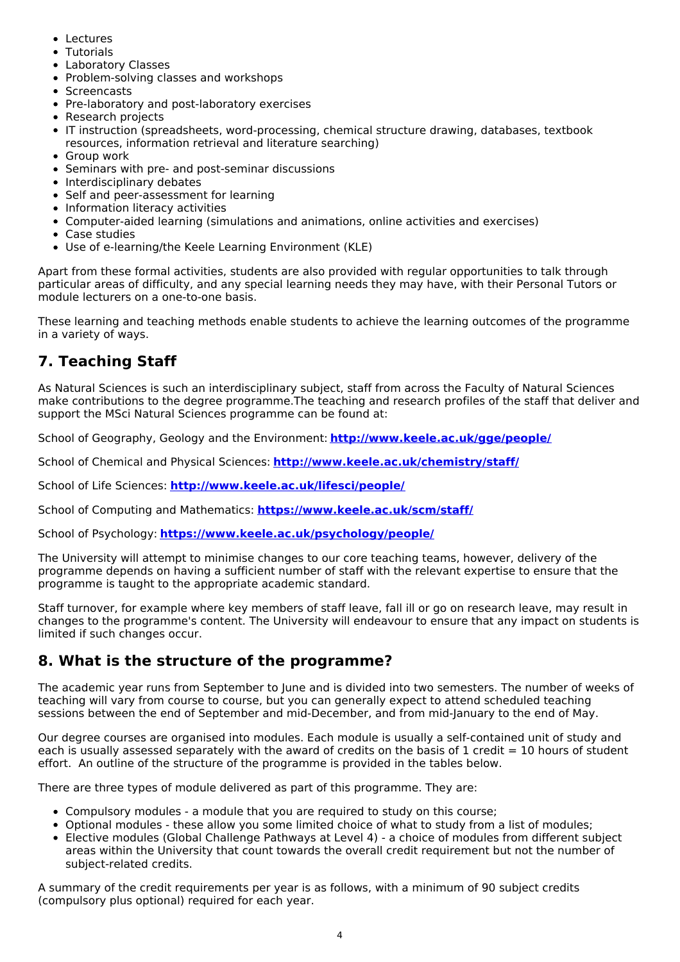- Lectures
- Tutorials
- Laboratory Classes
- Problem-solving classes and workshops
- Screencasts
- Pre-laboratory and post-laboratory exercises
- Research projects
- IT instruction (spreadsheets, word-processing, chemical structure drawing, databases, textbook resources, information retrieval and literature searching)
- Group work
- Seminars with pre- and post-seminar discussions
- Interdisciplinary debates
- Self and peer-assessment for learning
- Information literacy activities
- Computer-aided learning (simulations and animations, online activities and exercises)
- Case studies
- Use of e-learning/the Keele Learning Environment (KLE)

Apart from these formal activities, students are also provided with regular opportunities to talk through particular areas of difficulty, and any special learning needs they may have, with their Personal Tutors or module lecturers on a one-to-one basis.

These learning and teaching methods enable students to achieve the learning outcomes of the programme in a variety of ways.

# **7. Teaching Staff**

As Natural Sciences is such an interdisciplinary subject, staff from across the Faculty of Natural Sciences make contributions to the degree programme.The teaching and research profiles of the staff that deliver and support the MSci Natural Sciences programme can be found at:

School of Geography, Geology and the Environment: **<http://www.keele.ac.uk/gge/people/>**

School of Chemical and Physical Sciences: **<http://www.keele.ac.uk/chemistry/staff/>**

School of Life Sciences: **<http://www.keele.ac.uk/lifesci/people/>**

School of Computing and Mathematics: **<https://www.keele.ac.uk/scm/staff/>**

School of Psychology: **<https://www.keele.ac.uk/psychology/people/>**

The University will attempt to minimise changes to our core teaching teams, however, delivery of the programme depends on having a sufficient number of staff with the relevant expertise to ensure that the programme is taught to the appropriate academic standard.

Staff turnover, for example where key members of staff leave, fall ill or go on research leave, may result in changes to the programme's content. The University will endeavour to ensure that any impact on students is limited if such changes occur.

## **8. What is the structure of the programme?**

The academic year runs from September to June and is divided into two semesters. The number of weeks of teaching will vary from course to course, but you can generally expect to attend scheduled teaching sessions between the end of September and mid-December, and from mid-January to the end of May.

Our degree courses are organised into modules. Each module is usually a self-contained unit of study and each is usually assessed separately with the award of credits on the basis of 1 credit  $= 10$  hours of student effort. An outline of the structure of the programme is provided in the tables below.

There are three types of module delivered as part of this programme. They are:

- Compulsory modules a module that you are required to study on this course;
- Optional modules these allow you some limited choice of what to study from a list of modules;
- Elective modules (Global Challenge Pathways at Level 4) a choice of modules from different subject areas within the University that count towards the overall credit requirement but not the number of subject-related credits.

A summary of the credit requirements per year is as follows, with a minimum of 90 subject credits (compulsory plus optional) required for each year.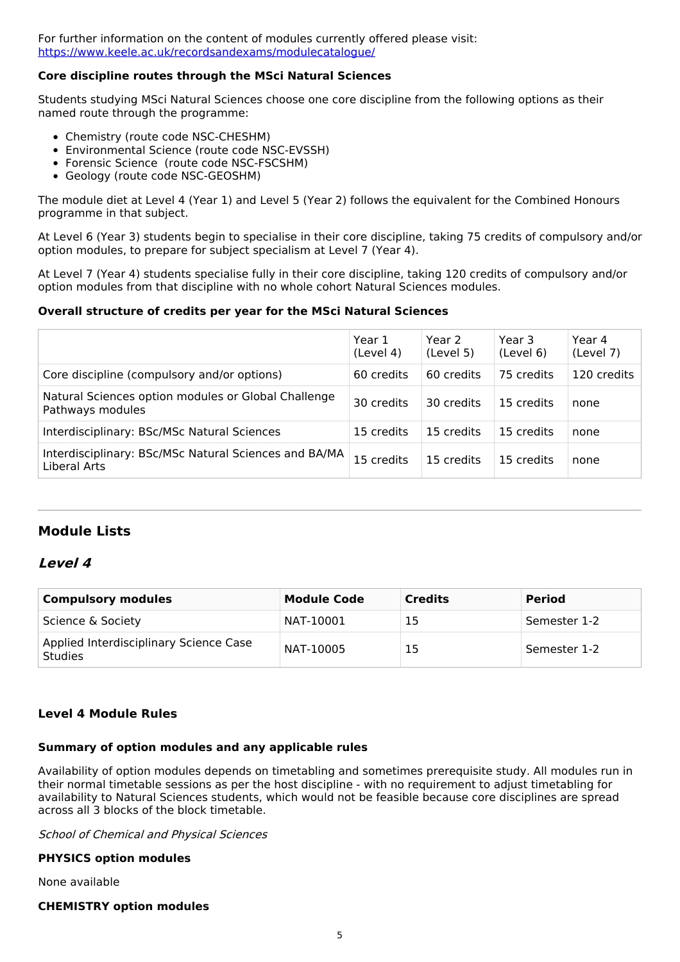For further information on the content of modules currently offered please visit: <https://www.keele.ac.uk/recordsandexams/modulecatalogue/>

### **Core discipline routes through the MSci Natural Sciences**

Students studying MSci Natural Sciences choose one core discipline from the following options as their named route through the programme:

- Chemistry (route code NSC-CHESHM)
- Environmental Science (route code NSC-EVSSH)
- Forensic Science (route code NSC-FSCSHM)
- Geology (route code NSC-GEOSHM)

The module diet at Level 4 (Year 1) and Level 5 (Year 2) follows the equivalent for the Combined Honours programme in that subject.

At Level 6 (Year 3) students begin to specialise in their core discipline, taking 75 credits of compulsory and/or option modules, to prepare for subject specialism at Level 7 (Year 4).

At Level 7 (Year 4) students specialise fully in their core discipline, taking 120 credits of compulsory and/or option modules from that discipline with no whole cohort Natural Sciences modules.

### **Overall structure of credits per year for the MSci Natural Sciences**

|                                                                         | Year 1<br>(Level 4) | Year 2<br>(Level 5) | Year 3<br>(Level 6) | Year 4<br>(Level 7) |
|-------------------------------------------------------------------------|---------------------|---------------------|---------------------|---------------------|
| Core discipline (compulsory and/or options)                             | 60 credits          | 60 credits          | 75 credits          | 120 credits         |
| Natural Sciences option modules or Global Challenge<br>Pathways modules | 30 credits          | 30 credits          | 15 credits          | none                |
| Interdisciplinary: BSc/MSc Natural Sciences                             | 15 credits          | 15 credits          | 15 credits          | none                |
| Interdisciplinary: BSc/MSc Natural Sciences and BA/MA<br>Liberal Arts   | 15 credits          | 15 credits          | 15 credits          | none                |

## **Module Lists**

## **Level 4**

| <b>Compulsory modules</b>                                | <b>Module Code</b> | <b>Credits</b> | <b>Period</b> |
|----------------------------------------------------------|--------------------|----------------|---------------|
| Science & Society                                        | NAT-10001          | 15             | Semester 1-2  |
| Applied Interdisciplinary Science Case<br><b>Studies</b> | NAT-10005          | 15             | Semester 1-2  |

## **Level 4 Module Rules**

#### **Summary of option modules and any applicable rules**

Availability of option modules depends on timetabling and sometimes prerequisite study. All modules run in their normal timetable sessions as per the host discipline - with no requirement to adjust timetabling for availability to Natural Sciences students, which would not be feasible because core disciplines are spread across all 3 blocks of the block timetable.

School of Chemical and Physical Sciences

#### **PHYSICS option modules**

None available

#### **CHEMISTRY option modules**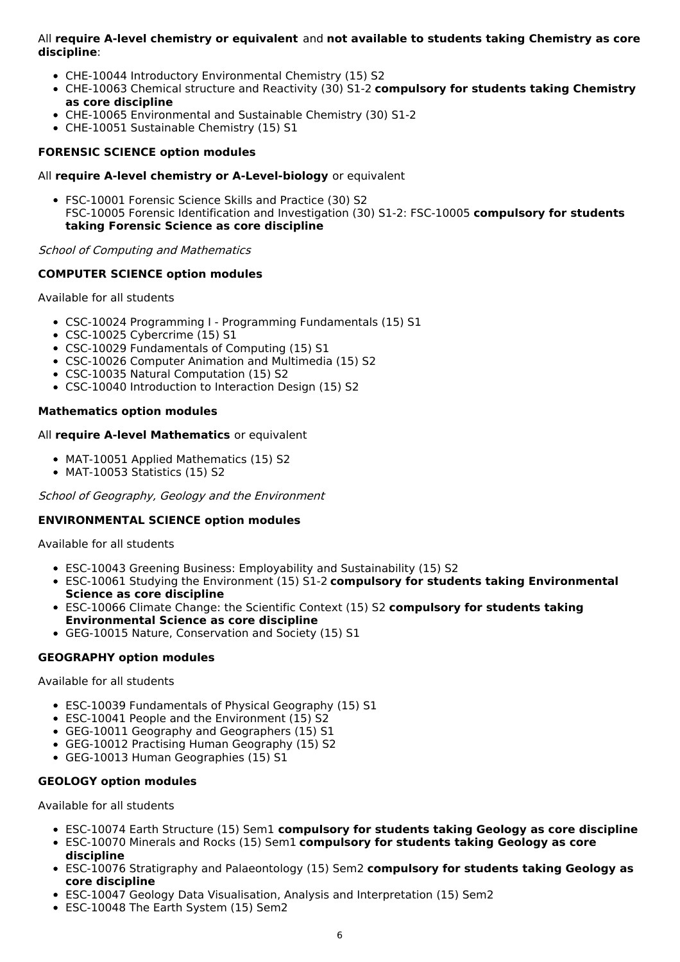All **require A-level chemistry or equivalent** and **not available to students taking Chemistry as core discipline**:

- CHE-10044 Introductory Environmental Chemistry (15) S2
- CHE-10063 Chemical structure and Reactivity (30) S1-2 **compulsory for students taking Chemistry as core discipline**
- CHE-10065 Environmental and Sustainable Chemistry (30) S1-2
- CHE-10051 Sustainable Chemistry (15) S1

### **FORENSIC SCIENCE option modules**

#### All **require A-level chemistry or A-Level-biology** or equivalent

FSC-10001 Forensic Science Skills and Practice (30) S2 FSC-10005 Forensic Identification and Investigation (30) S1-2: FSC-10005 **compulsory for students taking Forensic Science as core discipline**

School of Computing and Mathematics

#### **COMPUTER SCIENCE option modules**

Available for all students

- CSC-10024 Programming I Programming Fundamentals (15) S1
- CSC-10025 Cybercrime (15) S1
- CSC-10029 Fundamentals of Computing (15) S1
- CSC-10026 Computer Animation and Multimedia (15) S2
- CSC-10035 Natural Computation (15) S2
- CSC-10040 Introduction to Interaction Design (15) S2

### **Mathematics option modules**

#### All **require A-level Mathematics** or equivalent

- MAT-10051 Applied Mathematics (15) S2
- MAT-10053 Statistics (15) S2

School of Geography, Geology and the Environment

#### **ENVIRONMENTAL SCIENCE option modules**

Available for all students

- ESC-10043 Greening Business: Employability and Sustainability (15) S2
- ESC-10061 Studying the Environment (15) S1-2 **compulsory for students taking Environmental Science as core discipline**
- ESC-10066 Climate Change: the Scientific Context (15) S2 **compulsory for students taking Environmental Science as core discipline**
- GEG-10015 Nature, Conservation and Society (15) S1

#### **GEOGRAPHY option modules**

Available for all students

- ESC-10039 Fundamentals of Physical Geography (15) S1
- ESC-10041 People and the Environment (15) S2
- GEG-10011 Geography and Geographers (15) S1
- GEG-10012 Practising Human Geography (15) S2
- GEG-10013 Human Geographies (15) S1

#### **GEOLOGY option modules**

Available for all students

- ESC-10074 Earth Structure (15) Sem1 **compulsory for students taking Geology as core discipline**
- ESC-10070 Minerals and Rocks (15) Sem1 **compulsory for students taking Geology as core discipline**
- ESC-10076 Stratigraphy and Palaeontology (15) Sem2 **compulsory for students taking Geology as core discipline**
- ESC-10047 Geology Data Visualisation, Analysis and Interpretation (15) Sem2
- ESC-10048 The Earth System (15) Sem2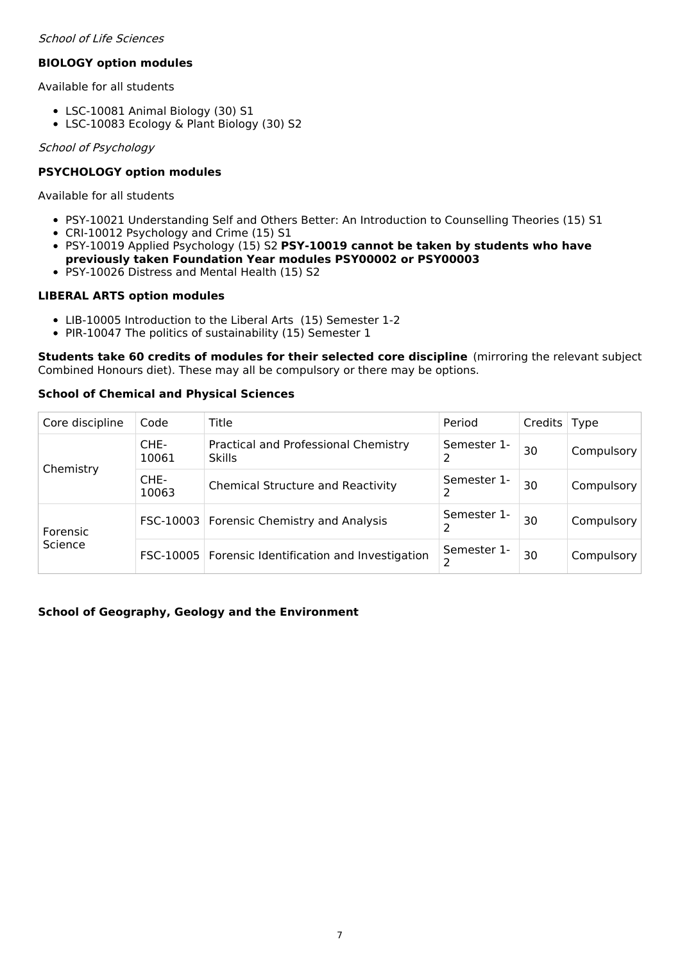### School of Life Sciences

## **BIOLOGY option modules**

Available for all students

- LSC-10081 Animal Biology (30) S1
- LSC-10083 Ecology & Plant Biology (30) S2

### School of Psychology

## **PSYCHOLOGY option modules**

Available for all students

- PSY-10021 Understanding Self and Others Better: An Introduction to Counselling Theories (15) S1
- CRI-10012 Psychology and Crime (15) S1
- PSY-10019 Applied Psychology (15) S2 **PSY-10019 cannot be taken by students who have previously taken Foundation Year modules PSY00002 or PSY00003**
- PSY-10026 Distress and Mental Health (15) S2

### **LIBERAL ARTS option modules**

- LIB-10005 Introduction to the Liberal Arts (15) Semester 1-2
- PIR-10047 The politics of sustainability (15) Semester 1

**Students take 60 credits of modules for their selected core discipline** (mirroring the relevant subject Combined Honours diet). These may all be compulsory or there may be options.

## **School of Chemical and Physical Sciences**

| Core discipline     | Code          | Title                                                 | Period      | Credits   Type |                         |
|---------------------|---------------|-------------------------------------------------------|-------------|----------------|-------------------------|
| Chemistry           | CHE-<br>10061 | Practical and Professional Chemistry<br><b>Skills</b> | Semester 1- | 30             | Compulsory              |
|                     | CHE-<br>10063 | <b>Chemical Structure and Reactivity</b>              | Semester 1- | 30             | Compulsory              |
| Forensic<br>Science |               | FSC-10003   Forensic Chemistry and Analysis           | Semester 1- | 30             | Compulsory <sup>1</sup> |
|                     |               | FSC-10005   Forensic Identification and Investigation | Semester 1- | 30             | Compulsory <sup>1</sup> |

## **School of Geography, Geology and the Environment**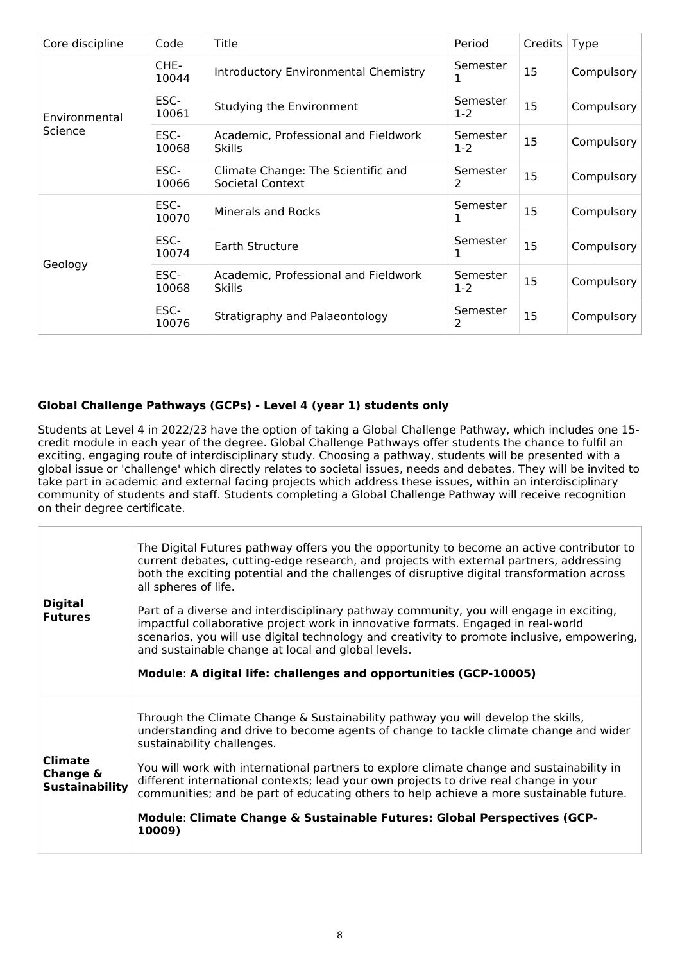| Core discipline | Code          | Title                                                  | Period            | Credits | <b>Type</b> |
|-----------------|---------------|--------------------------------------------------------|-------------------|---------|-------------|
|                 | CHE-<br>10044 | <b>Introductory Environmental Chemistry</b>            | Semester          | 15      | Compulsory  |
| Environmental   | ESC-<br>10061 | Studying the Environment                               | Semester<br>$1-2$ | 15      | Compulsory  |
| Science         | ESC-<br>10068 | Academic, Professional and Fieldwork<br><b>Skills</b>  | Semester<br>$1-2$ | 15      | Compulsory  |
|                 | ESC-<br>10066 | Climate Change: The Scientific and<br>Societal Context | Semester<br>2     | 15      | Compulsory  |
|                 | ESC-<br>10070 | Minerals and Rocks                                     | Semester<br>1     | 15      | Compulsory  |
| Geology         | ESC-<br>10074 | Earth Structure                                        | Semester<br>1     | 15      | Compulsory  |
|                 | ESC-<br>10068 | Academic, Professional and Fieldwork<br><b>Skills</b>  | Semester<br>$1-2$ | 15      | Compulsory  |
|                 | ESC-<br>10076 | Stratigraphy and Palaeontology                         | Semester<br>2     | 15      | Compulsory  |

## **Global Challenge Pathways (GCPs) - Level 4 (year 1) students only**

Students at Level 4 in 2022/23 have the option of taking a Global Challenge Pathway, which includes one 15 credit module in each year of the degree. Global Challenge Pathways offer students the chance to fulfil an exciting, engaging route of interdisciplinary study. Choosing a pathway, students will be presented with a global issue or 'challenge' which directly relates to societal issues, needs and debates. They will be invited to take part in academic and external facing projects which address these issues, within an interdisciplinary community of students and staff. Students completing a Global Challenge Pathway will receive recognition on their degree certificate.

| <b>Digital</b><br><b>Futures</b>                    | The Digital Futures pathway offers you the opportunity to become an active contributor to<br>current debates, cutting-edge research, and projects with external partners, addressing<br>both the exciting potential and the challenges of disruptive digital transformation across<br>all spheres of life.<br>Part of a diverse and interdisciplinary pathway community, you will engage in exciting,<br>impactful collaborative project work in innovative formats. Engaged in real-world<br>scenarios, you will use digital technology and creativity to promote inclusive, empowering,<br>and sustainable change at local and global levels.<br>Module: A digital life: challenges and opportunities (GCP-10005) |
|-----------------------------------------------------|---------------------------------------------------------------------------------------------------------------------------------------------------------------------------------------------------------------------------------------------------------------------------------------------------------------------------------------------------------------------------------------------------------------------------------------------------------------------------------------------------------------------------------------------------------------------------------------------------------------------------------------------------------------------------------------------------------------------|
| <b>Climate</b><br>Change &<br><b>Sustainability</b> | Through the Climate Change & Sustainability pathway you will develop the skills,<br>understanding and drive to become agents of change to tackle climate change and wider<br>sustainability challenges.<br>You will work with international partners to explore climate change and sustainability in<br>different international contexts; lead your own projects to drive real change in your<br>communities; and be part of educating others to help achieve a more sustainable future.<br>Module: Climate Change & Sustainable Futures: Global Perspectives (GCP-<br>10009)                                                                                                                                       |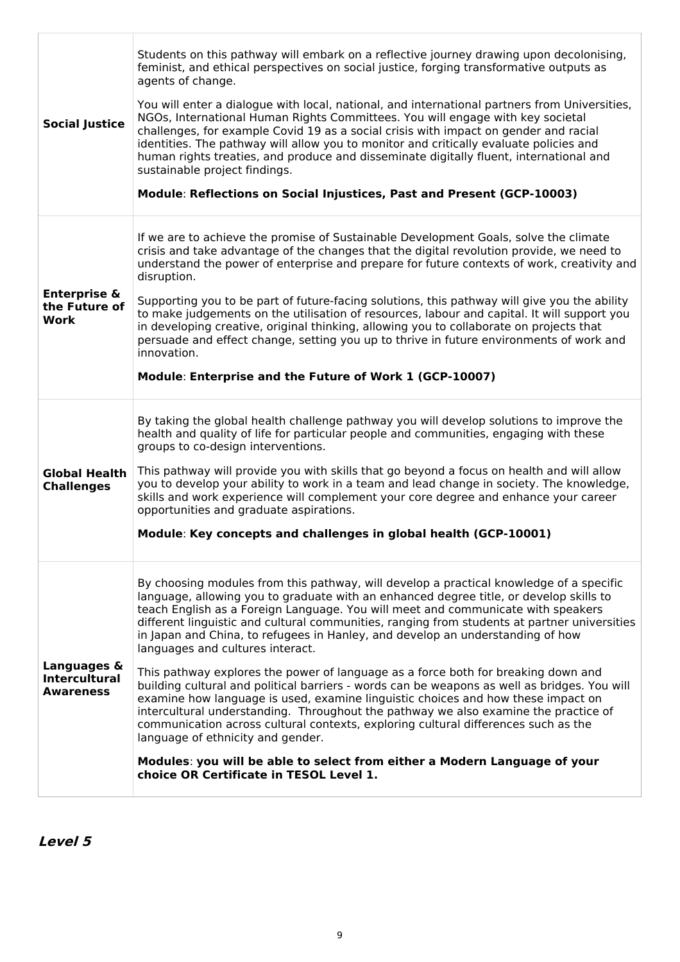| <b>Social Justice</b>                                   | Students on this pathway will embark on a reflective journey drawing upon decolonising,<br>feminist, and ethical perspectives on social justice, forging transformative outputs as<br>agents of change.<br>You will enter a dialogue with local, national, and international partners from Universities,<br>NGOs, International Human Rights Committees. You will engage with key societal<br>challenges, for example Covid 19 as a social crisis with impact on gender and racial<br>identities. The pathway will allow you to monitor and critically evaluate policies and<br>human rights treaties, and produce and disseminate digitally fluent, international and<br>sustainable project findings.<br>Module: Reflections on Social Injustices, Past and Present (GCP-10003)                                                                                                                                                                                                                                                                                                                              |
|---------------------------------------------------------|----------------------------------------------------------------------------------------------------------------------------------------------------------------------------------------------------------------------------------------------------------------------------------------------------------------------------------------------------------------------------------------------------------------------------------------------------------------------------------------------------------------------------------------------------------------------------------------------------------------------------------------------------------------------------------------------------------------------------------------------------------------------------------------------------------------------------------------------------------------------------------------------------------------------------------------------------------------------------------------------------------------------------------------------------------------------------------------------------------------|
| <b>Enterprise &amp;</b><br>the Future of<br>Work        | If we are to achieve the promise of Sustainable Development Goals, solve the climate<br>crisis and take advantage of the changes that the digital revolution provide, we need to<br>understand the power of enterprise and prepare for future contexts of work, creativity and<br>disruption.<br>Supporting you to be part of future-facing solutions, this pathway will give you the ability<br>to make judgements on the utilisation of resources, labour and capital. It will support you<br>in developing creative, original thinking, allowing you to collaborate on projects that<br>persuade and effect change, setting you up to thrive in future environments of work and<br>innovation.<br>Module: Enterprise and the Future of Work 1 (GCP-10007)                                                                                                                                                                                                                                                                                                                                                   |
| <b>Global Health</b><br><b>Challenges</b>               | By taking the global health challenge pathway you will develop solutions to improve the<br>health and quality of life for particular people and communities, engaging with these<br>groups to co-design interventions.<br>This pathway will provide you with skills that go beyond a focus on health and will allow<br>you to develop your ability to work in a team and lead change in society. The knowledge,<br>skills and work experience will complement your core degree and enhance your career<br>opportunities and graduate aspirations.<br>Module: Key concepts and challenges in global health (GCP-10001)                                                                                                                                                                                                                                                                                                                                                                                                                                                                                          |
| Languages &<br><b>Intercultural</b><br><b>Awareness</b> | By choosing modules from this pathway, will develop a practical knowledge of a specific<br>language, allowing you to graduate with an enhanced degree title, or develop skills to<br>teach English as a Foreign Language. You will meet and communicate with speakers<br>different linguistic and cultural communities, ranging from students at partner universities<br>in Japan and China, to refugees in Hanley, and develop an understanding of how<br>languages and cultures interact.<br>This pathway explores the power of language as a force both for breaking down and<br>building cultural and political barriers - words can be weapons as well as bridges. You will<br>examine how language is used, examine linguistic choices and how these impact on<br>intercultural understanding. Throughout the pathway we also examine the practice of<br>communication across cultural contexts, exploring cultural differences such as the<br>language of ethnicity and gender.<br>Modules: you will be able to select from either a Modern Language of your<br>choice OR Certificate in TESOL Level 1. |

**Level 5**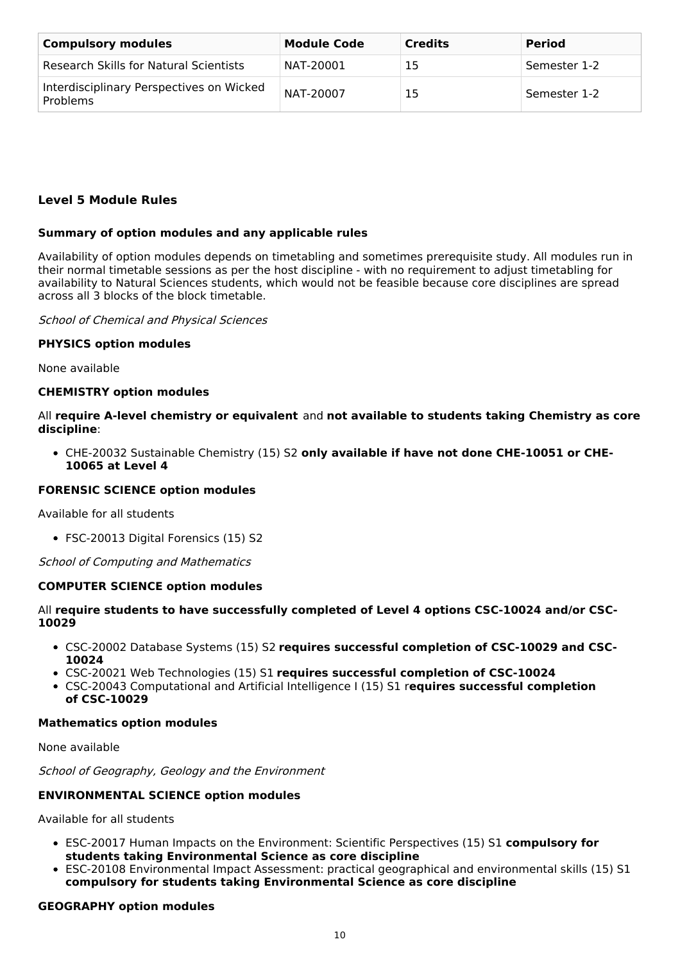| <b>Compulsory modules</b>                            | <b>Module Code</b> | <b>Credits</b> | <b>Period</b> |
|------------------------------------------------------|--------------------|----------------|---------------|
| Research Skills for Natural Scientists               | NAT-20001          | 15             | Semester 1-2  |
| Interdisciplinary Perspectives on Wicked<br>Problems | NAT-20007          | 15             | Semester 1-2  |

## **Level 5 Module Rules**

### **Summary of option modules and any applicable rules**

Availability of option modules depends on timetabling and sometimes prerequisite study. All modules run in their normal timetable sessions as per the host discipline - with no requirement to adjust timetabling for availability to Natural Sciences students, which would not be feasible because core disciplines are spread across all 3 blocks of the block timetable.

School of Chemical and Physical Sciences

### **PHYSICS option modules**

None available

#### **CHEMISTRY option modules**

All **require A-level chemistry or equivalent** and **not available to students taking Chemistry as core discipline**:

CHE-20032 Sustainable Chemistry (15) S2 **only available if have not done CHE-10051 or CHE-10065 at Level 4**

#### **FORENSIC SCIENCE option modules**

Available for all students

FSC-20013 Digital Forensics (15) S2

School of Computing and Mathematics

#### **COMPUTER SCIENCE option modules**

### All **require students to have successfully completed of Level 4 options CSC-10024 and/or CSC-10029**

- CSC-20002 Database Systems (15) S2 **requires successful completion of CSC-10029 and CSC-10024**
- CSC-20021 Web Technologies (15) S1 **requires successful completion of CSC-10024**
- CSC-20043 Computational and Artificial Intelligence I (15) S1 r**equires successful completion of CSC-10029**

#### **Mathematics option modules**

None available

School of Geography, Geology and the Environment

#### **ENVIRONMENTAL SCIENCE option modules**

Available for all students

- ESC-20017 Human Impacts on the Environment: Scientific Perspectives (15) S1 **compulsory for students taking Environmental Science as core discipline**
- ESC-20108 Environmental Impact Assessment: practical geographical and environmental skills (15) S1 **compulsory for students taking Environmental Science as core discipline**

#### **GEOGRAPHY option modules**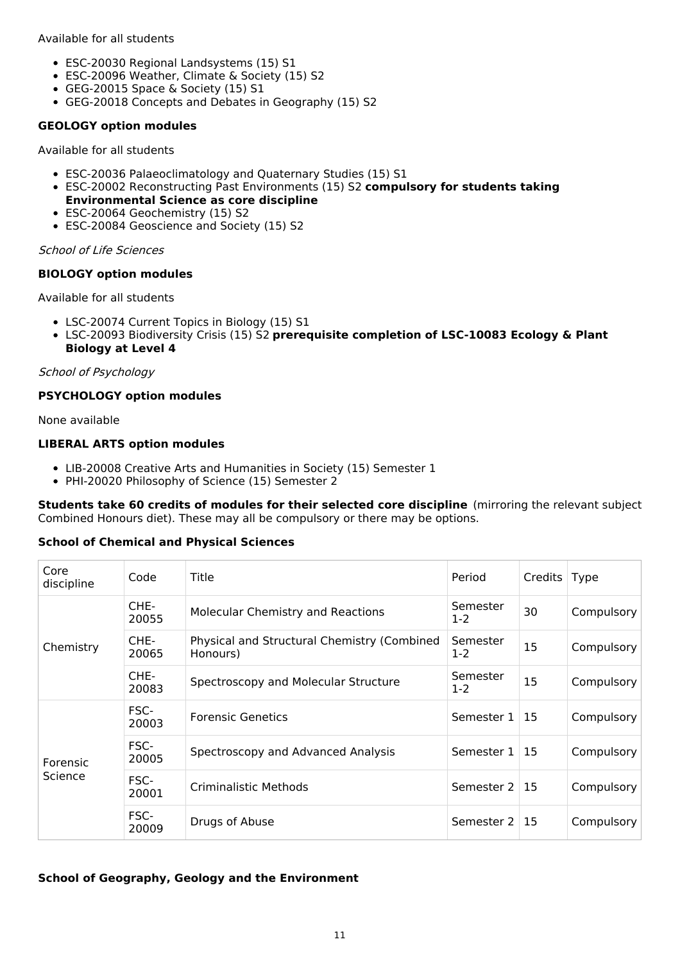Available for all students

- ESC-20030 Regional Landsystems (15) S1
- ESC-20096 Weather, Climate & Society (15) S2
- GEG-20015 Space & Society (15) S1
- GEG-20018 Concepts and Debates in Geography (15) S2

### **GEOLOGY option modules**

Available for all students

- ESC-20036 Palaeoclimatology and Quaternary Studies (15) S1
- ESC-20002 Reconstructing Past Environments (15) S2 **compulsory for students taking Environmental Science as core discipline**
- ESC-20064 Geochemistry (15) S2
- ESC-20084 Geoscience and Society (15) S2

School of Life Sciences

### **BIOLOGY option modules**

Available for all students

- LSC-20074 Current Topics in Biology (15) S1
- LSC-20093 Biodiversity Crisis (15) S2 **prerequisite completion of LSC-10083 Ecology & Plant Biology at Level 4**

### School of Psychology

## **PSYCHOLOGY option modules**

None available

## **LIBERAL ARTS option modules**

- LIB-20008 Creative Arts and Humanities in Society (15) Semester 1
- PHI-20020 Philosophy of Science (15) Semester 2

**Students take 60 credits of modules for their selected core discipline** (mirroring the relevant subject Combined Honours diet). These may all be compulsory or there may be options.

## **School of Chemical and Physical Sciences**

| Core<br>discipline  | Code          | Title                                                   | Period               | Credits   Type |            |
|---------------------|---------------|---------------------------------------------------------|----------------------|----------------|------------|
|                     | CHE-<br>20055 | <b>Molecular Chemistry and Reactions</b>                | Semester<br>$1-2$    | 30             | Compulsory |
| Chemistry           | CHE-<br>20065 | Physical and Structural Chemistry (Combined<br>Honours) | Semester<br>$1-2$    | 15             | Compulsory |
|                     | CHE-<br>20083 | Spectroscopy and Molecular Structure                    | Semester<br>$1-2$    | 15             | Compulsory |
| Forensic<br>Science | FSC-<br>20003 | <b>Forensic Genetics</b>                                | Semester $1 \mid 15$ |                | Compulsory |
|                     | FSC-<br>20005 | Spectroscopy and Advanced Analysis                      | Semester $1 \mid 15$ |                | Compulsory |
|                     | FSC-<br>20001 | Criminalistic Methods                                   | Semester $2 \mid 15$ |                | Compulsory |
|                     | FSC-<br>20009 | Drugs of Abuse                                          | Semester $2 \mid 15$ |                | Compulsory |

## **School of Geography, Geology and the Environment**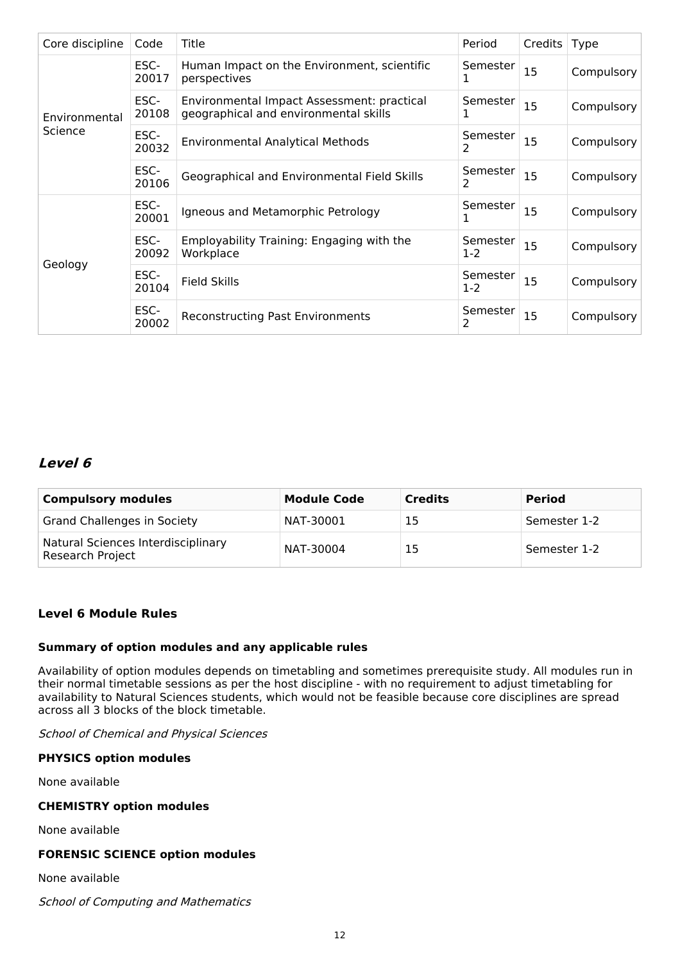| Core discipline | Code          | Title                                                                               | Period            | Credits | <b>Type</b> |
|-----------------|---------------|-------------------------------------------------------------------------------------|-------------------|---------|-------------|
|                 | ESC-<br>20017 | Human Impact on the Environment, scientific<br>perspectives                         | Semester<br>ı     | 15      | Compulsory  |
| Environmental   | ESC-<br>20108 | Environmental Impact Assessment: practical<br>geographical and environmental skills | Semester<br>1     | 15      | Compulsory  |
| Science         | ESC-<br>20032 | <b>Environmental Analytical Methods</b>                                             | Semester<br>2     | 15      | Compulsory  |
|                 | ESC-<br>20106 | Geographical and Environmental Field Skills                                         | Semester<br>2     | 15      | Compulsory  |
|                 | ESC-<br>20001 | Igneous and Metamorphic Petrology                                                   | Semester<br>1     | 15      | Compulsory  |
| Geology         | ESC-<br>20092 | Employability Training: Engaging with the<br>Workplace                              | Semester<br>$1-2$ | 15      | Compulsory  |
|                 | ESC-<br>20104 | <b>Field Skills</b>                                                                 | Semester<br>$1-2$ | 15      | Compulsory  |
|                 | ESC-<br>20002 | <b>Reconstructing Past Environments</b>                                             | Semester<br>2     | 15      | Compulsory  |

## **Level 6**

| <b>Compulsory modules</b>                                     | <b>Module Code</b> | <b>Credits</b> | <b>Period</b> |
|---------------------------------------------------------------|--------------------|----------------|---------------|
| <b>Grand Challenges in Society</b>                            | NAT-30001          | 15             | Semester 1-2  |
| Natural Sciences Interdisciplinary<br><b>Research Project</b> | NAT-30004          | 15             | Semester 1-2  |

## **Level 6 Module Rules**

## **Summary of option modules and any applicable rules**

Availability of option modules depends on timetabling and sometimes prerequisite study. All modules run in their normal timetable sessions as per the host discipline - with no requirement to adjust timetabling for availability to Natural Sciences students, which would not be feasible because core disciplines are spread across all 3 blocks of the block timetable.

School of Chemical and Physical Sciences

## **PHYSICS option modules**

None available

## **CHEMISTRY option modules**

None available

### **FORENSIC SCIENCE option modules**

None available

School of Computing and Mathematics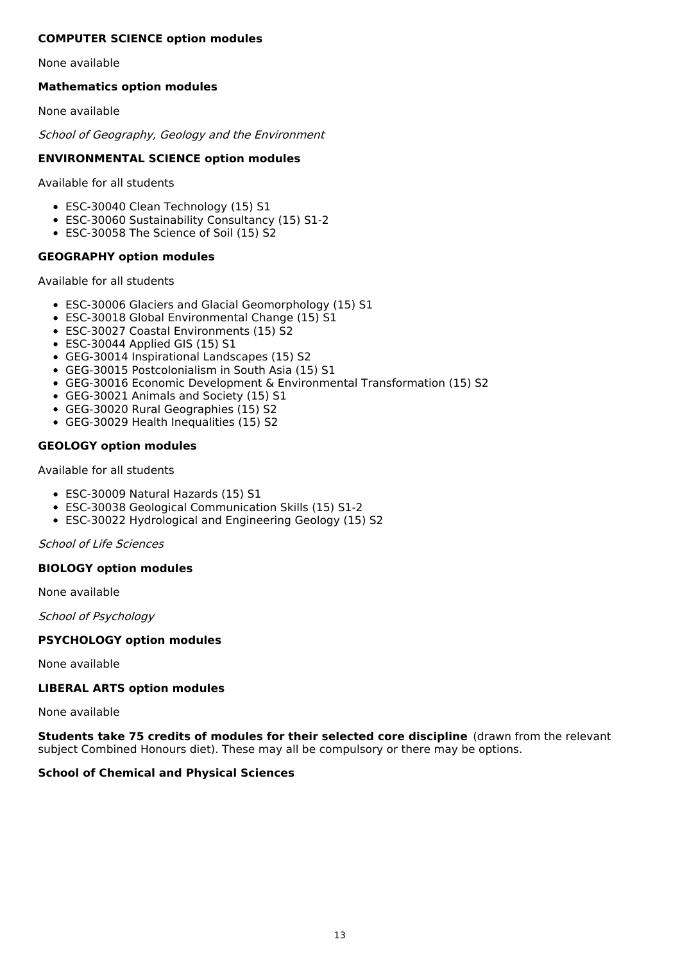## **COMPUTER SCIENCE option modules**

None available

## **Mathematics option modules**

None available

School of Geography, Geology and the Environment

## **ENVIRONMENTAL SCIENCE option modules**

Available for all students

- ESC-30040 Clean Technology (15) S1
- ESC-30060 Sustainability Consultancy (15) S1-2
- ESC-30058 The Science of Soil (15) S2

## **GEOGRAPHY option modules**

Available for all students

- ESC-30006 Glaciers and Glacial Geomorphology (15) S1
- ESC-30018 Global Environmental Change (15) S1
- ESC-30027 Coastal Environments (15) S2
- ESC-30044 Applied GIS (15) S1
- GEG-30014 Inspirational Landscapes (15) S2
- GEG-30015 Postcolonialism in South Asia (15) S1
- GEG-30016 Economic Development & Environmental Transformation (15) S2
- GEG-30021 Animals and Society (15) S1
- GEG-30020 Rural Geographies (15) S2
- GEG-30029 Health Inequalities (15) S2

## **GEOLOGY option modules**

### Available for all students

- ESC-30009 Natural Hazards (15) S1
- ESC-30038 Geological Communication Skills (15) S1-2
- ESC-30022 Hydrological and Engineering Geology (15) S2

School of Life Sciences

## **BIOLOGY option modules**

None available

School of Psychology

## **PSYCHOLOGY option modules**

None available

## **LIBERAL ARTS option modules**

None available

**Students take 75 credits of modules for their selected core discipline** (drawn from the relevant subject Combined Honours diet). These may all be compulsory or there may be options.

## **School of Chemical and Physical Sciences**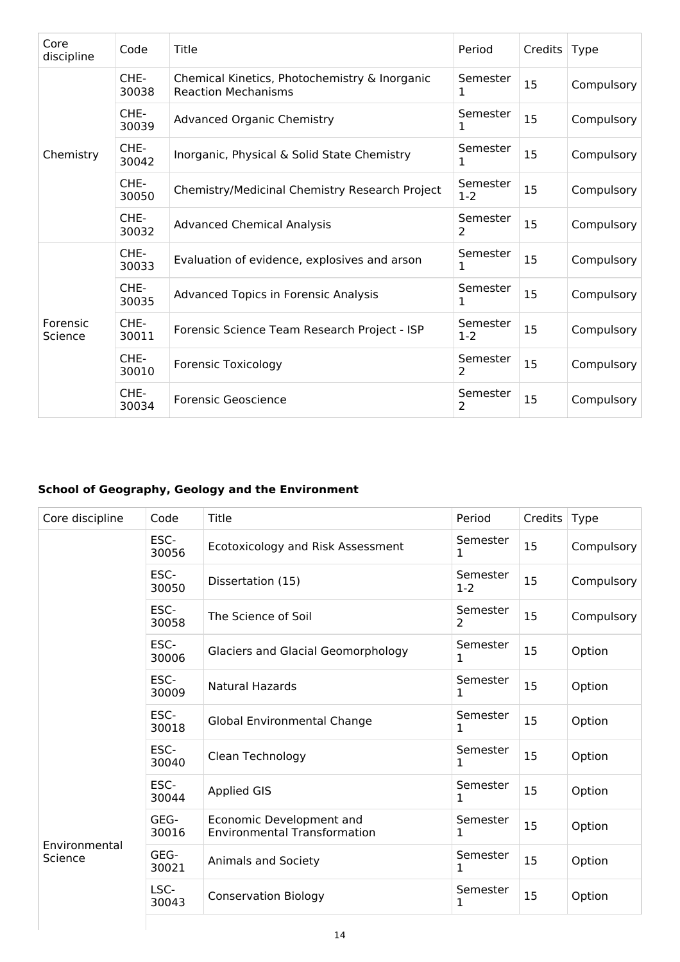| Core<br>discipline  | Code          | Title                                                                       | Period              | Credits | <b>Type</b> |
|---------------------|---------------|-----------------------------------------------------------------------------|---------------------|---------|-------------|
|                     | CHE-<br>30038 | Chemical Kinetics, Photochemistry & Inorganic<br><b>Reaction Mechanisms</b> | Semester<br>1       | 15      | Compulsory  |
|                     | CHE-<br>30039 | <b>Advanced Organic Chemistry</b>                                           | Semester<br>1       | 15      | Compulsory  |
| Chemistry           | CHE-<br>30042 | Inorganic, Physical & Solid State Chemistry                                 | Semester<br>1       | 15      | Compulsory  |
|                     | CHE-<br>30050 | Chemistry/Medicinal Chemistry Research Project                              | Semester<br>$1 - 2$ | 15      | Compulsory  |
|                     | CHE-<br>30032 | <b>Advanced Chemical Analysis</b>                                           | Semester<br>2       | 15      | Compulsory  |
|                     | CHE-<br>30033 | Evaluation of evidence, explosives and arson                                | Semester<br>1       | 15      | Compulsory  |
|                     | CHE-<br>30035 | <b>Advanced Topics in Forensic Analysis</b>                                 | Semester<br>1       | 15      | Compulsory  |
| Forensic<br>Science | CHE-<br>30011 | Forensic Science Team Research Project - ISP                                | Semester<br>$1 - 2$ | 15      | Compulsory  |
|                     | CHE-<br>30010 | <b>Forensic Toxicology</b>                                                  | Semester<br>2       | 15      | Compulsory  |
|                     | CHE-<br>30034 | <b>Forensic Geoscience</b>                                                  | Semester<br>2       | 15      | Compulsory  |

# **School of Geography, Geology and the Environment**

| Core discipline          | Code          | Title                                                           | Period            | Credits   Type |            |
|--------------------------|---------------|-----------------------------------------------------------------|-------------------|----------------|------------|
|                          | ESC-<br>30056 | Ecotoxicology and Risk Assessment                               | Semester<br>1     | 15             | Compulsory |
|                          | ESC-<br>30050 | Dissertation (15)                                               | Semester<br>$1-2$ | 15             | Compulsory |
|                          | ESC-<br>30058 | The Science of Soil                                             | Semester<br>2     | 15             | Compulsory |
|                          | ESC-<br>30006 | <b>Glaciers and Glacial Geomorphology</b>                       | Semester<br>1     | 15             | Option     |
|                          | ESC-<br>30009 | <b>Natural Hazards</b>                                          | Semester<br>1     | 15             | Option     |
|                          | ESC-<br>30018 | <b>Global Environmental Change</b>                              | Semester<br>1     | 15             | Option     |
|                          | ESC-<br>30040 | Clean Technology                                                | Semester<br>1     | 15             | Option     |
|                          | ESC-<br>30044 | <b>Applied GIS</b>                                              | Semester<br>1     | 15             | Option     |
| Environmental<br>Science | GEG-<br>30016 | Economic Development and<br><b>Environmental Transformation</b> | Semester<br>1     | 15             | Option     |
|                          | GEG-<br>30021 | Animals and Society                                             | Semester<br>1     | 15             | Option     |
|                          | LSC-<br>30043 | <b>Conservation Biology</b>                                     | Semester<br>1     | 15             | Option     |
|                          |               |                                                                 |                   |                |            |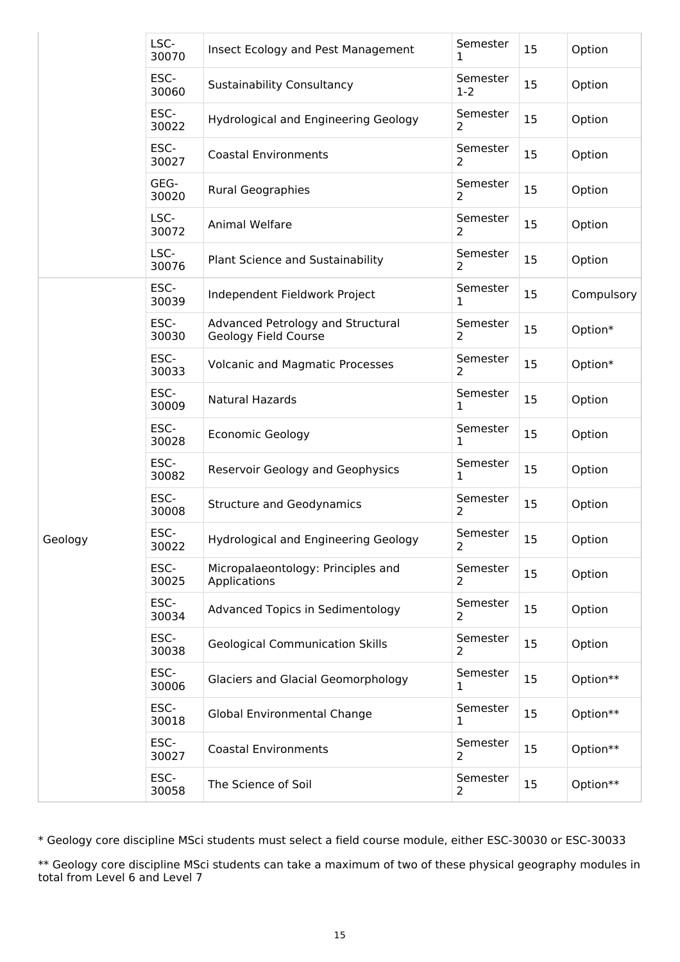|         | LSC-<br>30070 | Insect Ecology and Pest Management                        | Semester<br>1       | 15 | Option     |
|---------|---------------|-----------------------------------------------------------|---------------------|----|------------|
|         | ESC-<br>30060 | <b>Sustainability Consultancy</b>                         | Semester<br>$1 - 2$ | 15 | Option     |
|         | ESC-<br>30022 | Hydrological and Engineering Geology                      | Semester<br>2       | 15 | Option     |
|         | ESC-<br>30027 | <b>Coastal Environments</b>                               | Semester<br>2       | 15 | Option     |
|         | GEG-<br>30020 | <b>Rural Geographies</b>                                  | Semester<br>2       | 15 | Option     |
|         | LSC-<br>30072 | Animal Welfare                                            | Semester<br>2       | 15 | Option     |
|         | LSC-<br>30076 | Plant Science and Sustainability                          | Semester<br>2       | 15 | Option     |
|         | ESC-<br>30039 | Independent Fieldwork Project                             | Semester<br>1       | 15 | Compulsory |
|         | ESC-<br>30030 | Advanced Petrology and Structural<br>Geology Field Course | Semester<br>2       | 15 | Option*    |
|         | ESC-<br>30033 | <b>Volcanic and Magmatic Processes</b>                    | Semester<br>2       | 15 | Option*    |
|         | ESC-<br>30009 | Natural Hazards                                           | Semester<br>1       | 15 | Option     |
| Geology | ESC-<br>30028 | <b>Economic Geology</b>                                   | Semester<br>1       | 15 | Option     |
|         | ESC-<br>30082 | Reservoir Geology and Geophysics                          | Semester<br>1       | 15 | Option     |
|         | ESC-<br>30008 | <b>Structure and Geodynamics</b>                          | Semester<br>2       | 15 | Option     |
|         | ESC-<br>30022 | Hydrological and Engineering Geology                      | Semester<br>2       | 15 | Option     |
|         | ESC-<br>30025 | Micropalaeontology: Principles and<br>Applications        | Semester<br>2       | 15 | Option     |
|         | ESC-<br>30034 | Advanced Topics in Sedimentology                          | Semester<br>2       | 15 | Option     |
|         | ESC-<br>30038 | <b>Geological Communication Skills</b>                    | Semester<br>2       | 15 | Option     |
|         | ESC-<br>30006 | <b>Glaciers and Glacial Geomorphology</b>                 | Semester<br>1       | 15 | Option**   |
|         | ESC-<br>30018 | Global Environmental Change                               | Semester<br>1       | 15 | Option**   |
|         | ESC-<br>30027 | <b>Coastal Environments</b>                               | Semester<br>2       | 15 | Option**   |
|         | ESC-<br>30058 | The Science of Soil                                       | Semester<br>2       | 15 | Option**   |

\* Geology core discipline MSci students must select a field course module, either ESC-30030 or ESC-30033

\*\* Geology core discipline MSci students can take a maximum of two of these physical geography modules in total from Level 6 and Level 7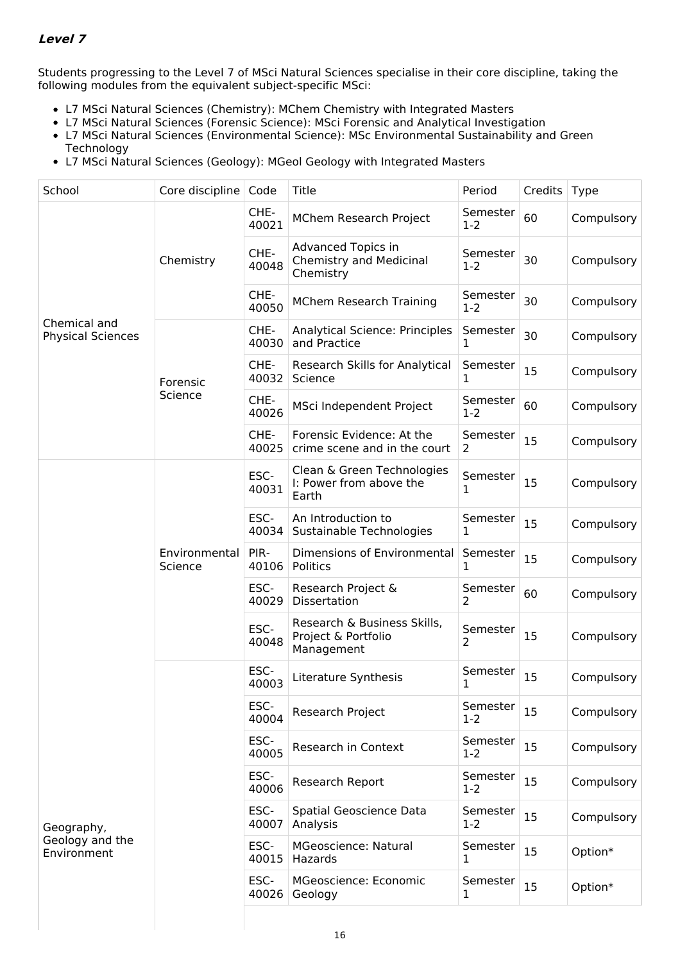## **Level 7**

Students progressing to the Level 7 of MSci Natural Sciences specialise in their core discipline, taking the following modules from the equivalent subject-specific MSci:

- L7 MSci Natural Sciences (Chemistry): MChem Chemistry with Integrated Masters
- L7 MSci Natural Sciences (Forensic Science): MSci Forensic and Analytical Investigation
- L7 MSci Natural Sciences (Environmental Science): MSc Environmental Sustainability and Green Technology
- L7 MSci Natural Sciences (Geology): MGeol Geology with Integrated Masters

| School                                       | Core discipline          | Code          | Title                                                             | Period              | Credits | Type       |
|----------------------------------------------|--------------------------|---------------|-------------------------------------------------------------------|---------------------|---------|------------|
|                                              |                          | CHE-<br>40021 | MChem Research Project                                            | Semester<br>$1 - 2$ | 60      | Compulsory |
|                                              | Chemistry                | CHE-<br>40048 | Advanced Topics in<br><b>Chemistry and Medicinal</b><br>Chemistry | Semester<br>$1 - 2$ | 30      | Compulsory |
|                                              |                          | CHE-<br>40050 | <b>MChem Research Training</b>                                    | Semester<br>$1 - 2$ | 30      | Compulsory |
| Chemical and<br><b>Physical Sciences</b>     |                          | CHE-<br>40030 | <b>Analytical Science: Principles</b><br>and Practice             | Semester<br>1       | 30      | Compulsory |
|                                              | Forensic                 | CHE-<br>40032 | Research Skills for Analytical<br>Science                         | Semester<br>1       | 15      | Compulsory |
|                                              | Science                  | CHE-<br>40026 | MSci Independent Project                                          | Semester<br>$1-2$   | 60      | Compulsory |
|                                              |                          | CHE-<br>40025 | Forensic Evidence: At the<br>crime scene and in the court         | Semester<br>2       | 15      | Compulsory |
|                                              | Environmental<br>Science | ESC-<br>40031 | Clean & Green Technologies<br>I: Power from above the<br>Earth    | Semester<br>1       | 15      | Compulsory |
|                                              |                          | ESC-<br>40034 | An Introduction to<br>Sustainable Technologies                    | Semester<br>1       | 15      | Compulsory |
|                                              |                          | PIR-<br>40106 | Dimensions of Environmental<br>Politics                           | Semester<br>1       | 15      | Compulsory |
|                                              |                          | ESC-<br>40029 | Research Project &<br>Dissertation                                | Semester<br>2       | 60      | Compulsory |
|                                              |                          | ESC-<br>40048 | Research & Business Skills,<br>Project & Portfolio<br>Management  | Semester<br>2       | 15      | Compulsory |
|                                              |                          | ESC-<br>40003 | Literature Synthesis                                              | Semester<br>1       | 15      | Compulsory |
| Geography,<br>Geology and the<br>Environment |                          | ESC-<br>40004 | Research Project                                                  | Semester<br>$1 - 2$ | 15      | Compulsory |
|                                              |                          | ESC-<br>40005 | Research in Context                                               | Semester<br>$1 - 2$ | 15      | Compulsory |
|                                              |                          | ESC-<br>40006 | Research Report                                                   | Semester<br>$1 - 2$ | 15      | Compulsory |
|                                              |                          | ESC-<br>40007 | Spatial Geoscience Data<br>Analysis                               | Semester<br>$1-2$   | 15      | Compulsory |
|                                              |                          | ESC-<br>40015 | <b>MGeoscience: Natural</b><br>Hazards                            | Semester<br>1       | 15      | Option*    |
|                                              |                          | ESC-<br>40026 | <b>MGeoscience: Economic</b><br>Geology                           | Semester<br>1       | 15      | Option*    |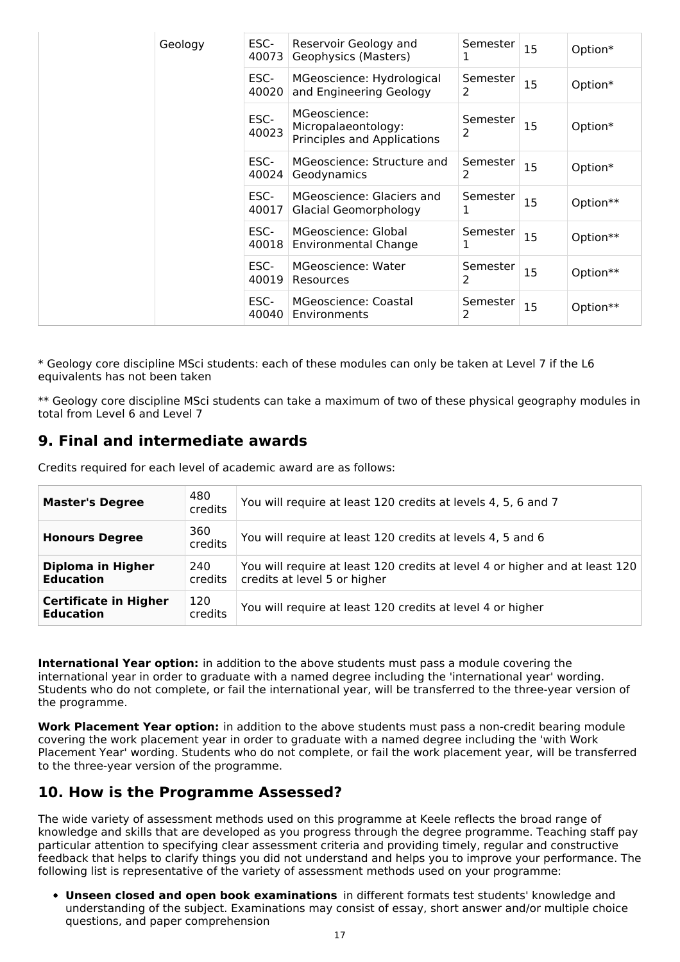|  | Geology | ESC-<br>40073 | Reservoir Geology and<br>Geophysics (Masters)                      | Semester<br>ı | 15 | Option*  |
|--|---------|---------------|--------------------------------------------------------------------|---------------|----|----------|
|  |         | ESC-<br>40020 | MGeoscience: Hydrological<br>and Engineering Geology               | Semester<br>2 | 15 | Option*  |
|  |         | ESC-<br>40023 | MGeoscience:<br>Micropalaeontology:<br>Principles and Applications | Semester<br>2 | 15 | Option*  |
|  |         | ESC-<br>40024 | MGeoscience: Structure and<br>Geodynamics                          | Semester<br>2 | 15 | Option*  |
|  |         | ESC-<br>40017 | MGeoscience: Glaciers and<br>Glacial Geomorphology                 | Semester<br>1 | 15 | Option** |
|  |         | ESC-<br>40018 | MGeoscience: Global<br>Environmental Change                        | Semester<br>1 | 15 | Option** |
|  |         | ESC-<br>40019 | MGeoscience: Water<br>Resources                                    | Semester<br>2 | 15 | Option** |
|  |         | ESC-<br>40040 | MGeoscience: Coastal<br>Environments                               | Semester<br>2 | 15 | Option** |

\* Geology core discipline MSci students: each of these modules can only be taken at Level 7 if the L6 equivalents has not been taken

\*\* Geology core discipline MSci students can take a maximum of two of these physical geography modules in total from Level 6 and Level 7

## **9. Final and intermediate awards**

Credits required for each level of academic award are as follows:

| <b>Master's Degree</b>                           | 480<br>credits | You will require at least 120 credits at levels 4, 5, 6 and 7                                               |
|--------------------------------------------------|----------------|-------------------------------------------------------------------------------------------------------------|
| <b>Honours Degree</b>                            | 360<br>credits | You will require at least 120 credits at levels 4, 5 and 6                                                  |
| <b>Diploma in Higher</b><br><b>Education</b>     | 240<br>credits | You will require at least 120 credits at level 4 or higher and at least 120<br>credits at level 5 or higher |
| <b>Certificate in Higher</b><br><b>Education</b> | 120<br>credits | You will require at least 120 credits at level 4 or higher                                                  |

**International Year option:** in addition to the above students must pass a module covering the international year in order to graduate with a named degree including the 'international year' wording. Students who do not complete, or fail the international year, will be transferred to the three-year version of the programme.

**Work Placement Year option:** in addition to the above students must pass a non-credit bearing module covering the work placement year in order to graduate with a named degree including the 'with Work Placement Year' wording. Students who do not complete, or fail the work placement year, will be transferred to the three-year version of the programme.

## **10. How is the Programme Assessed?**

The wide variety of assessment methods used on this programme at Keele reflects the broad range of knowledge and skills that are developed as you progress through the degree programme. Teaching staff pay particular attention to specifying clear assessment criteria and providing timely, regular and constructive feedback that helps to clarify things you did not understand and helps you to improve your performance. The following list is representative of the variety of assessment methods used on your programme:

**Unseen closed and open book examinations** in different formats test students' knowledge and understanding of the subject. Examinations may consist of essay, short answer and/or multiple choice questions, and paper comprehension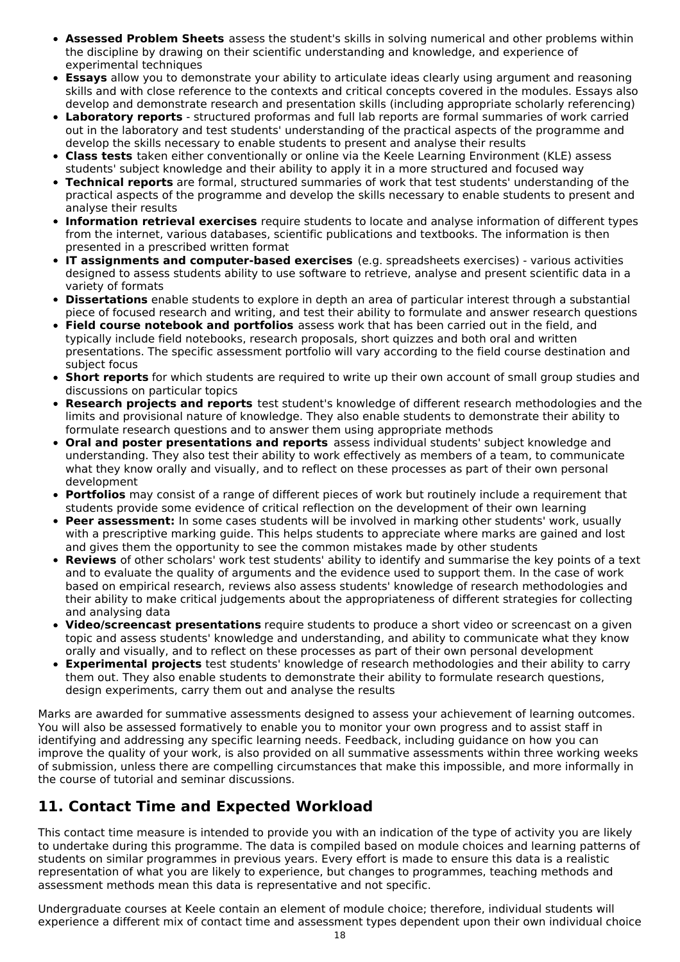- **Assessed Problem Sheets** assess the student's skills in solving numerical and other problems within the discipline by drawing on their scientific understanding and knowledge, and experience of experimental techniques
- **Essays** allow you to demonstrate your ability to articulate ideas clearly using argument and reasoning skills and with close reference to the contexts and critical concepts covered in the modules. Essays also develop and demonstrate research and presentation skills (including appropriate scholarly referencing)
- **Laboratory reports** structured proformas and full lab reports are formal summaries of work carried out in the laboratory and test students' understanding of the practical aspects of the programme and develop the skills necessary to enable students to present and analyse their results
- **Class tests** taken either conventionally or online via the Keele Learning Environment (KLE) assess students' subject knowledge and their ability to apply it in a more structured and focused way
- **Technical reports** are formal, structured summaries of work that test students' understanding of the practical aspects of the programme and develop the skills necessary to enable students to present and analyse their results
- **Information retrieval exercises** require students to locate and analyse information of different types from the internet, various databases, scientific publications and textbooks. The information is then presented in a prescribed written format
- **IT assignments and computer-based exercises** (e.g. spreadsheets exercises) various activities designed to assess students ability to use software to retrieve, analyse and present scientific data in a variety of formats
- **Dissertations** enable students to explore in depth an area of particular interest through a substantial piece of focused research and writing, and test their ability to formulate and answer research questions
- **Field course notebook and portfolios** assess work that has been carried out in the field, and typically include field notebooks, research proposals, short quizzes and both oral and written presentations. The specific assessment portfolio will vary according to the field course destination and subject focus
- **Short reports** for which students are required to write up their own account of small group studies and discussions on particular topics
- **Research projects and reports** test student's knowledge of different research methodologies and the limits and provisional nature of knowledge. They also enable students to demonstrate their ability to formulate research questions and to answer them using appropriate methods
- **Oral and poster presentations and reports** assess individual students' subject knowledge and understanding. They also test their ability to work effectively as members of a team, to communicate what they know orally and visually, and to reflect on these processes as part of their own personal development
- **Portfolios** may consist of a range of different pieces of work but routinely include a requirement that students provide some evidence of critical reflection on the development of their own learning
- **Peer assessment:** In some cases students will be involved in marking other students' work, usually with a prescriptive marking guide. This helps students to appreciate where marks are gained and lost and gives them the opportunity to see the common mistakes made by other students
- **Reviews** of other scholars' work test students' ability to identify and summarise the key points of a text and to evaluate the quality of arguments and the evidence used to support them. In the case of work based on empirical research, reviews also assess students' knowledge of research methodologies and their ability to make critical judgements about the appropriateness of different strategies for collecting and analysing data
- **Video/screencast presentations** require students to produce a short video or screencast on a given topic and assess students' knowledge and understanding, and ability to communicate what they know orally and visually, and to reflect on these processes as part of their own personal development
- **Experimental projects** test students' knowledge of research methodologies and their ability to carry them out. They also enable students to demonstrate their ability to formulate research questions, design experiments, carry them out and analyse the results

Marks are awarded for summative assessments designed to assess your achievement of learning outcomes. You will also be assessed formatively to enable you to monitor your own progress and to assist staff in identifying and addressing any specific learning needs. Feedback, including guidance on how you can improve the quality of your work, is also provided on all summative assessments within three working weeks of submission, unless there are compelling circumstances that make this impossible, and more informally in the course of tutorial and seminar discussions.

# **11. Contact Time and Expected Workload**

This contact time measure is intended to provide you with an indication of the type of activity you are likely to undertake during this programme. The data is compiled based on module choices and learning patterns of students on similar programmes in previous years. Every effort is made to ensure this data is a realistic representation of what you are likely to experience, but changes to programmes, teaching methods and assessment methods mean this data is representative and not specific.

Undergraduate courses at Keele contain an element of module choice; therefore, individual students will experience a different mix of contact time and assessment types dependent upon their own individual choice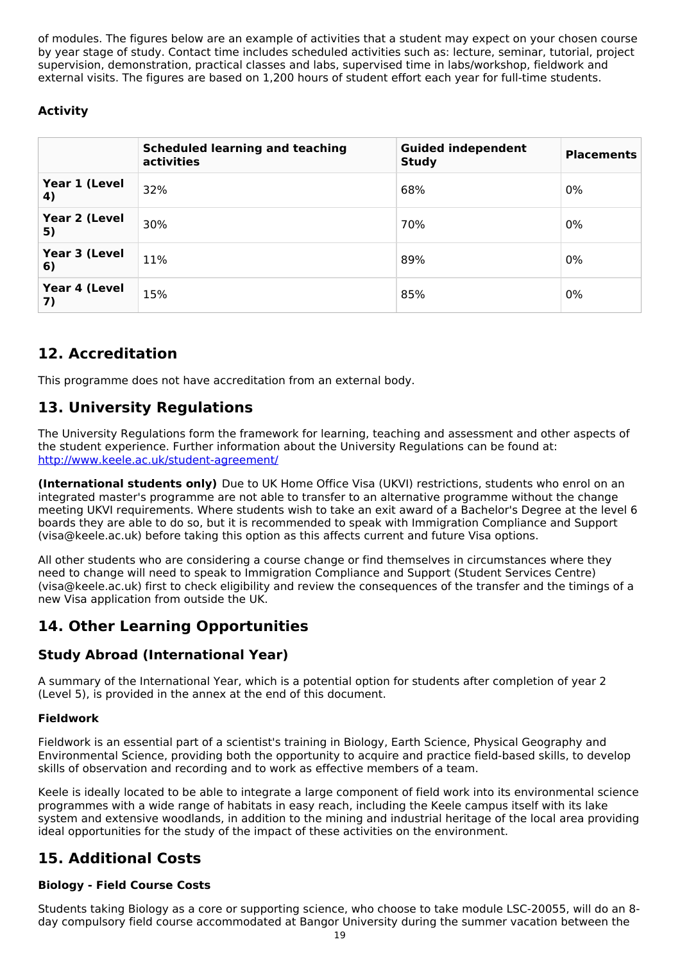of modules. The figures below are an example of activities that a student may expect on your chosen course by year stage of study. Contact time includes scheduled activities such as: lecture, seminar, tutorial, project supervision, demonstration, practical classes and labs, supervised time in labs/workshop, fieldwork and external visits. The figures are based on 1,200 hours of student effort each year for full-time students.

## **Activity**

|                     | <b>Scheduled learning and teaching</b><br>activities | <b>Guided independent</b><br><b>Study</b> | <b>Placements</b> |
|---------------------|------------------------------------------------------|-------------------------------------------|-------------------|
| Year 1 (Level<br>4) | 32%                                                  | 68%                                       | 0%                |
| Year 2 (Level<br>5) | 30%                                                  | 70%                                       | 0%                |
| Year 3 (Level<br>6) | 11%                                                  | 89%                                       | 0%                |
| Year 4 (Level<br>7) | 15%                                                  | 85%                                       | 0%                |

# **12. Accreditation**

This programme does not have accreditation from an external body.

## **13. University Regulations**

The University Regulations form the framework for learning, teaching and assessment and other aspects of the student experience. Further information about the University Regulations can be found at: <http://www.keele.ac.uk/student-agreement/>

**(International students only)** Due to UK Home Office Visa (UKVI) restrictions, students who enrol on an integrated master's programme are not able to transfer to an alternative programme without the change meeting UKVI requirements. Where students wish to take an exit award of a Bachelor's Degree at the level 6 boards they are able to do so, but it is recommended to speak with Immigration Compliance and Support (visa@keele.ac.uk) before taking this option as this affects current and future Visa options.

All other students who are considering a course change or find themselves in circumstances where they need to change will need to speak to Immigration Compliance and Support (Student Services Centre) (visa@keele.ac.uk) first to check eligibility and review the consequences of the transfer and the timings of a new Visa application from outside the UK.

# **14. Other Learning Opportunities**

## **Study Abroad (International Year)**

A summary of the International Year, which is a potential option for students after completion of year 2 (Level 5), is provided in the annex at the end of this document.

## **Fieldwork**

Fieldwork is an essential part of a scientist's training in Biology, Earth Science, Physical Geography and Environmental Science, providing both the opportunity to acquire and practice field-based skills, to develop skills of observation and recording and to work as effective members of a team.

Keele is ideally located to be able to integrate a large component of field work into its environmental science programmes with a wide range of habitats in easy reach, including the Keele campus itself with its lake system and extensive woodlands, in addition to the mining and industrial heritage of the local area providing ideal opportunities for the study of the impact of these activities on the environment.

# **15. Additional Costs**

## **Biology - Field Course Costs**

Students taking Biology as a core or supporting science, who choose to take module LSC-20055, will do an 8 day compulsory field course accommodated at Bangor University during the summer vacation between the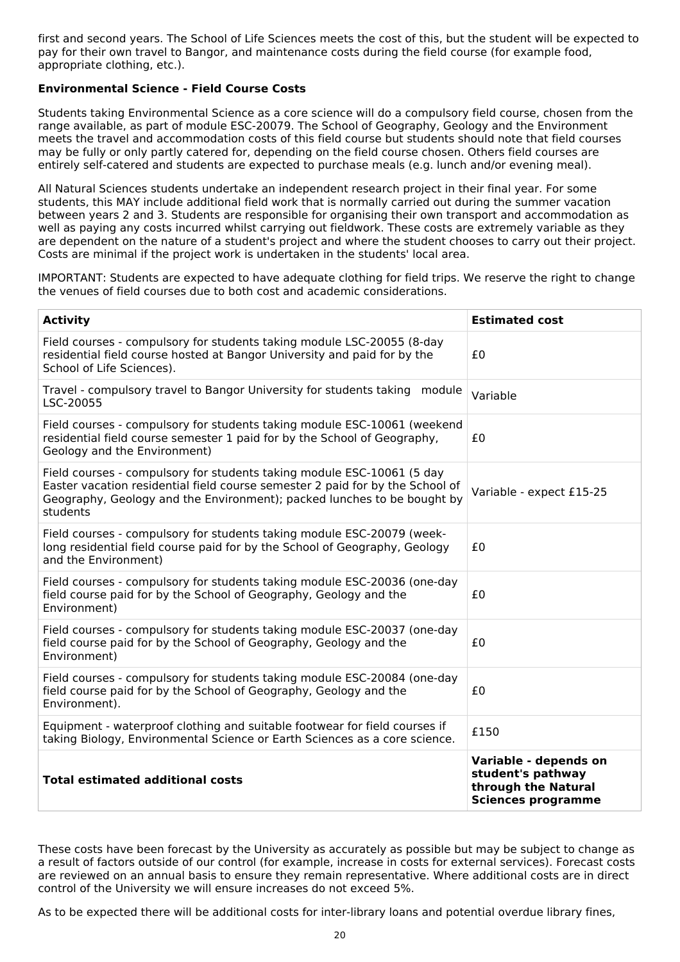first and second years. The School of Life Sciences meets the cost of this, but the student will be expected to pay for their own travel to Bangor, and maintenance costs during the field course (for example food, appropriate clothing, etc.).

## **Environmental Science - Field Course Costs**

Students taking Environmental Science as a core science will do a compulsory field course, chosen from the range available, as part of module ESC-20079. The School of Geography, Geology and the Environment meets the travel and accommodation costs of this field course but students should note that field courses may be fully or only partly catered for, depending on the field course chosen. Others field courses are entirely self-catered and students are expected to purchase meals (e.g. lunch and/or evening meal).

All Natural Sciences students undertake an independent research project in their final year. For some students, this MAY include additional field work that is normally carried out during the summer vacation between years 2 and 3. Students are responsible for organising their own transport and accommodation as well as paying any costs incurred whilst carrying out fieldwork. These costs are extremely variable as they are dependent on the nature of a student's project and where the student chooses to carry out their project. Costs are minimal if the project work is undertaken in the students' local area.

IMPORTANT: Students are expected to have adequate clothing for field trips. We reserve the right to change the venues of field courses due to both cost and academic considerations.

| <b>Activity</b>                                                                                                                                                                                                                                | <b>Estimated cost</b>                                                                          |
|------------------------------------------------------------------------------------------------------------------------------------------------------------------------------------------------------------------------------------------------|------------------------------------------------------------------------------------------------|
| Field courses - compulsory for students taking module LSC-20055 (8-day<br>residential field course hosted at Bangor University and paid for by the<br>School of Life Sciences).                                                                | £0                                                                                             |
| Travel - compulsory travel to Bangor University for students taking module<br>LSC-20055                                                                                                                                                        | Variable                                                                                       |
| Field courses - compulsory for students taking module ESC-10061 (weekend<br>residential field course semester 1 paid for by the School of Geography,<br>Geology and the Environment)                                                           | £0                                                                                             |
| Field courses - compulsory for students taking module ESC-10061 (5 day<br>Easter vacation residential field course semester 2 paid for by the School of<br>Geography, Geology and the Environment); packed lunches to be bought by<br>students | Variable - expect £15-25                                                                       |
| Field courses - compulsory for students taking module ESC-20079 (week-<br>long residential field course paid for by the School of Geography, Geology<br>and the Environment)                                                                   | £0                                                                                             |
| Field courses - compulsory for students taking module ESC-20036 (one-day<br>field course paid for by the School of Geography, Geology and the<br>Environment)                                                                                  | £0                                                                                             |
| Field courses - compulsory for students taking module ESC-20037 (one-day<br>field course paid for by the School of Geography, Geology and the<br>Environment)                                                                                  | £0                                                                                             |
| Field courses - compulsory for students taking module ESC-20084 (one-day<br>field course paid for by the School of Geography, Geology and the<br>Environment).                                                                                 | £0                                                                                             |
| Equipment - waterproof clothing and suitable footwear for field courses if<br>taking Biology, Environmental Science or Earth Sciences as a core science.                                                                                       | £150                                                                                           |
| <b>Total estimated additional costs</b>                                                                                                                                                                                                        | Variable - depends on<br>student's pathway<br>through the Natural<br><b>Sciences programme</b> |

These costs have been forecast by the University as accurately as possible but may be subject to change as a result of factors outside of our control (for example, increase in costs for external services). Forecast costs are reviewed on an annual basis to ensure they remain representative. Where additional costs are in direct control of the University we will ensure increases do not exceed 5%.

As to be expected there will be additional costs for inter-library loans and potential overdue library fines,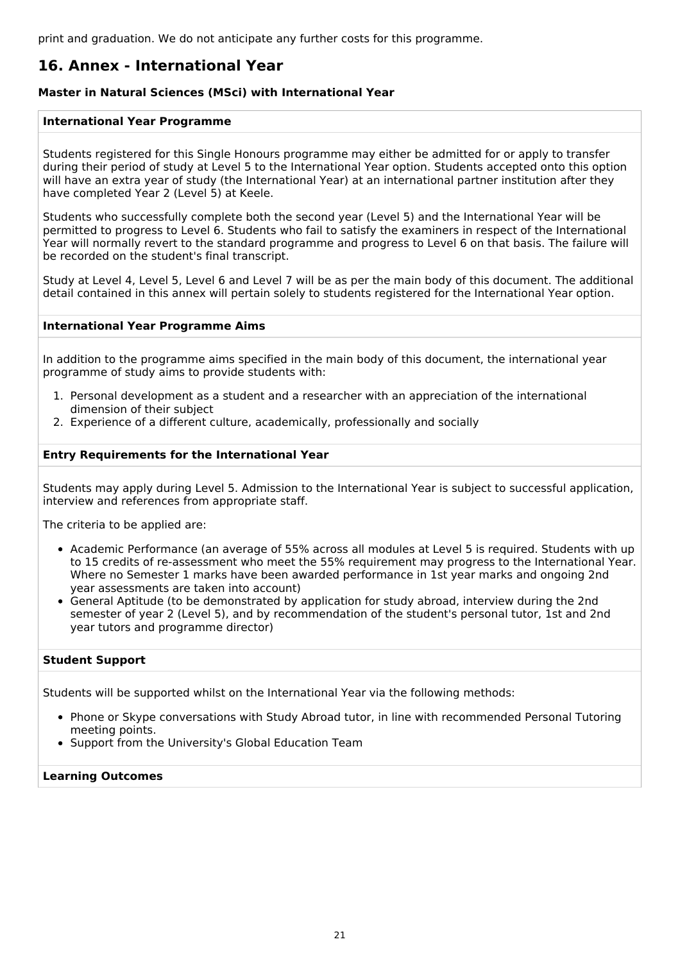print and graduation. We do not anticipate any further costs for this programme.

## **16. Annex - International Year**

## **Master in Natural Sciences (MSci) with International Year**

### **International Year Programme**

Students registered for this Single Honours programme may either be admitted for or apply to transfer during their period of study at Level 5 to the International Year option. Students accepted onto this option will have an extra year of study (the International Year) at an international partner institution after they have completed Year 2 (Level 5) at Keele.

Students who successfully complete both the second year (Level 5) and the International Year will be permitted to progress to Level 6. Students who fail to satisfy the examiners in respect of the International Year will normally revert to the standard programme and progress to Level 6 on that basis. The failure will be recorded on the student's final transcript.

Study at Level 4, Level 5, Level 6 and Level 7 will be as per the main body of this document. The additional detail contained in this annex will pertain solely to students registered for the International Year option.

### **International Year Programme Aims**

In addition to the programme aims specified in the main body of this document, the international year programme of study aims to provide students with:

- 1. Personal development as a student and a researcher with an appreciation of the international dimension of their subject
- 2. Experience of a different culture, academically, professionally and socially

## **Entry Requirements for the International Year**

Students may apply during Level 5. Admission to the International Year is subject to successful application, interview and references from appropriate staff.

The criteria to be applied are:

- Academic Performance (an average of 55% across all modules at Level 5 is required. Students with up to 15 credits of re-assessment who meet the 55% requirement may progress to the International Year. Where no Semester 1 marks have been awarded performance in 1st year marks and ongoing 2nd year assessments are taken into account)
- General Aptitude (to be demonstrated by application for study abroad, interview during the 2nd semester of year 2 (Level 5), and by recommendation of the student's personal tutor, 1st and 2nd year tutors and programme director)

## **Student Support**

Students will be supported whilst on the International Year via the following methods:

- Phone or Skype conversations with Study Abroad tutor, in line with recommended Personal Tutoring meeting points.
- Support from the University's Global Education Team

#### **Learning Outcomes**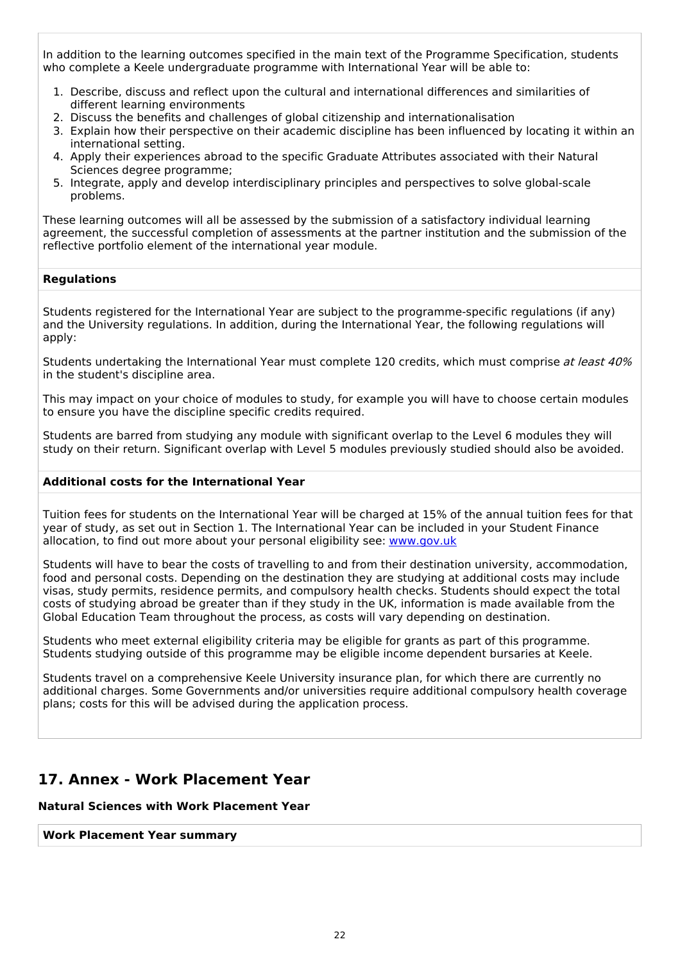In addition to the learning outcomes specified in the main text of the Programme Specification, students who complete a Keele undergraduate programme with International Year will be able to:

- 1. Describe, discuss and reflect upon the cultural and international differences and similarities of different learning environments
- 2. Discuss the benefits and challenges of global citizenship and internationalisation
- 3. Explain how their perspective on their academic discipline has been influenced by locating it within an international setting.
- 4. Apply their experiences abroad to the specific Graduate Attributes associated with their Natural Sciences degree programme;
- 5. Integrate, apply and develop interdisciplinary principles and perspectives to solve global-scale problems.

These learning outcomes will all be assessed by the submission of a satisfactory individual learning agreement, the successful completion of assessments at the partner institution and the submission of the reflective portfolio element of the international year module.

## **Regulations**

Students registered for the International Year are subject to the programme-specific regulations (if any) and the University regulations. In addition, during the International Year, the following regulations will apply:

Students undertaking the International Year must complete 120 credits, which must comprise at least 40% in the student's discipline area.

This may impact on your choice of modules to study, for example you will have to choose certain modules to ensure you have the discipline specific credits required.

Students are barred from studying any module with significant overlap to the Level 6 modules they will study on their return. Significant overlap with Level 5 modules previously studied should also be avoided.

#### **Additional costs for the International Year**

Tuition fees for students on the International Year will be charged at 15% of the annual tuition fees for that year of study, as set out in Section 1. The International Year can be included in your Student Finance allocation, to find out more about your personal eligibility see: [www.gov.uk](http://www.gov.uk/)

Students will have to bear the costs of travelling to and from their destination university, accommodation, food and personal costs. Depending on the destination they are studying at additional costs may include visas, study permits, residence permits, and compulsory health checks. Students should expect the total costs of studying abroad be greater than if they study in the UK, information is made available from the Global Education Team throughout the process, as costs will vary depending on destination.

Students who meet external eligibility criteria may be eligible for grants as part of this programme. Students studying outside of this programme may be eligible income dependent bursaries at Keele.

Students travel on a comprehensive Keele University insurance plan, for which there are currently no additional charges. Some Governments and/or universities require additional compulsory health coverage plans; costs for this will be advised during the application process.

## **17. Annex - Work Placement Year**

## **Natural Sciences with Work Placement Year**

### **Work Placement Year summary**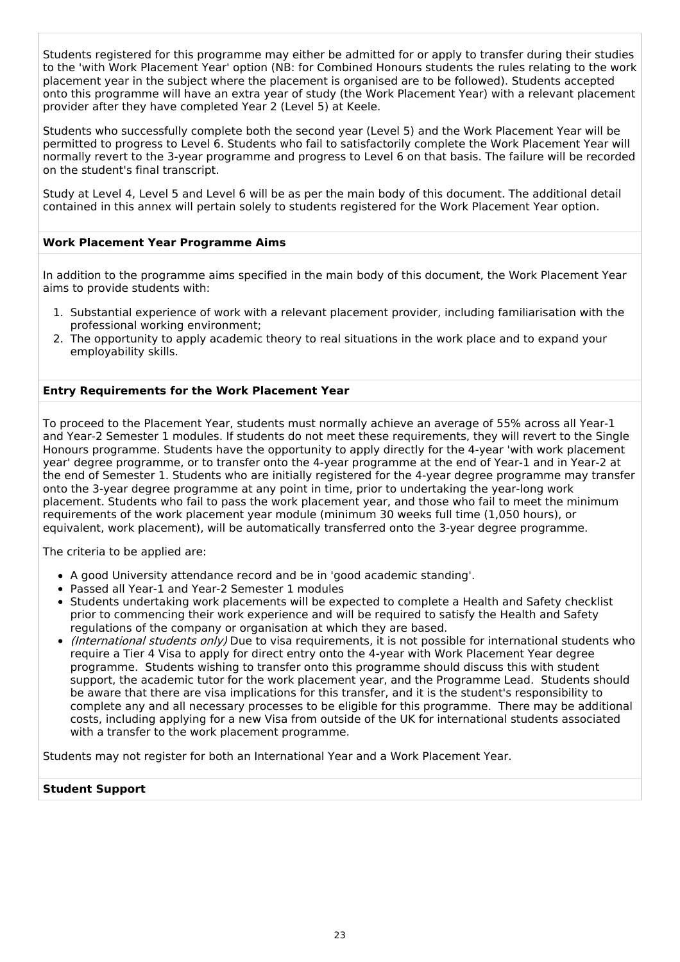Students registered for this programme may either be admitted for or apply to transfer during their studies to the 'with Work Placement Year' option (NB: for Combined Honours students the rules relating to the work placement year in the subject where the placement is organised are to be followed). Students accepted onto this programme will have an extra year of study (the Work Placement Year) with a relevant placement provider after they have completed Year 2 (Level 5) at Keele.

Students who successfully complete both the second year (Level 5) and the Work Placement Year will be permitted to progress to Level 6. Students who fail to satisfactorily complete the Work Placement Year will normally revert to the 3-year programme and progress to Level 6 on that basis. The failure will be recorded on the student's final transcript.

Study at Level 4, Level 5 and Level 6 will be as per the main body of this document. The additional detail contained in this annex will pertain solely to students registered for the Work Placement Year option.

## **Work Placement Year Programme Aims**

In addition to the programme aims specified in the main body of this document, the Work Placement Year aims to provide students with:

- 1. Substantial experience of work with a relevant placement provider, including familiarisation with the professional working environment;
- 2. The opportunity to apply academic theory to real situations in the work place and to expand your employability skills.

## **Entry Requirements for the Work Placement Year**

To proceed to the Placement Year, students must normally achieve an average of 55% across all Year-1 and Year-2 Semester 1 modules. If students do not meet these requirements, they will revert to the Single Honours programme. Students have the opportunity to apply directly for the 4-year 'with work placement year' degree programme, or to transfer onto the 4-year programme at the end of Year-1 and in Year-2 at the end of Semester 1. Students who are initially registered for the 4-year degree programme may transfer onto the 3-year degree programme at any point in time, prior to undertaking the year-long work placement. Students who fail to pass the work placement year, and those who fail to meet the minimum requirements of the work placement year module (minimum 30 weeks full time (1,050 hours), or equivalent, work placement), will be automatically transferred onto the 3-year degree programme.

The criteria to be applied are:

- A good University attendance record and be in 'good academic standing'.
- Passed all Year-1 and Year-2 Semester 1 modules
- Students undertaking work placements will be expected to complete a Health and Safety checklist prior to commencing their work experience and will be required to satisfy the Health and Safety regulations of the company or organisation at which they are based.
- (International students only) Due to visa requirements, it is not possible for international students who require a Tier 4 Visa to apply for direct entry onto the 4-year with Work Placement Year degree programme. Students wishing to transfer onto this programme should discuss this with student support, the academic tutor for the work placement year, and the Programme Lead. Students should be aware that there are visa implications for this transfer, and it is the student's responsibility to complete any and all necessary processes to be eligible for this programme. There may be additional costs, including applying for a new Visa from outside of the UK for international students associated with a transfer to the work placement programme.

Students may not register for both an International Year and a Work Placement Year.

## **Student Support**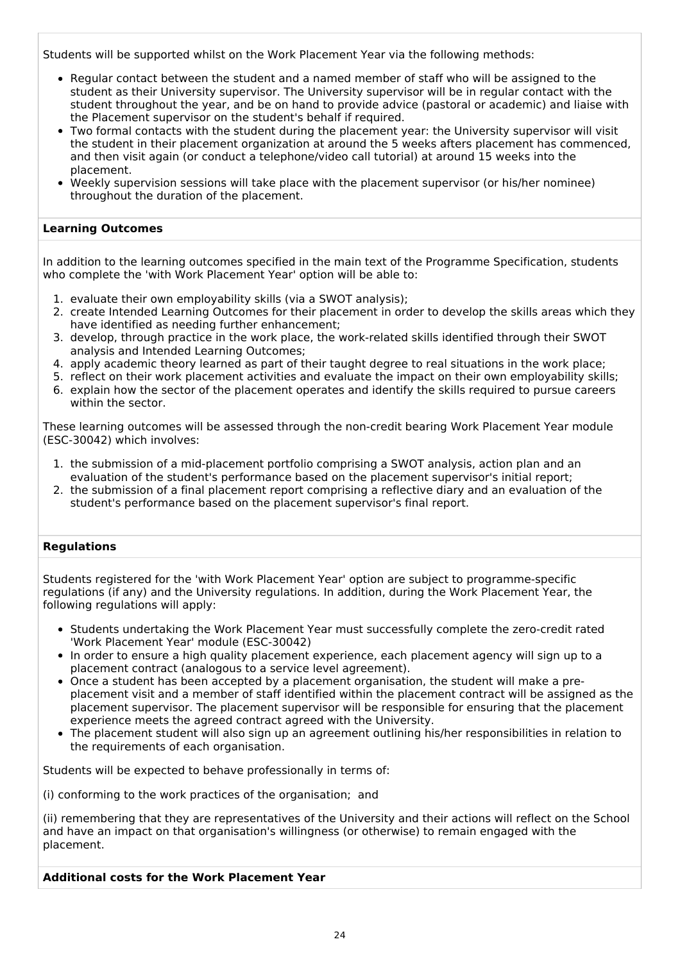Students will be supported whilst on the Work Placement Year via the following methods:

- Regular contact between the student and a named member of staff who will be assigned to the student as their University supervisor. The University supervisor will be in regular contact with the student throughout the year, and be on hand to provide advice (pastoral or academic) and liaise with the Placement supervisor on the student's behalf if required.
- Two formal contacts with the student during the placement year: the University supervisor will visit the student in their placement organization at around the 5 weeks afters placement has commenced, and then visit again (or conduct a telephone/video call tutorial) at around 15 weeks into the placement.
- Weekly supervision sessions will take place with the placement supervisor (or his/her nominee) throughout the duration of the placement.

## **Learning Outcomes**

In addition to the learning outcomes specified in the main text of the Programme Specification, students who complete the 'with Work Placement Year' option will be able to:

- 1. evaluate their own employability skills (via a SWOT analysis);
- 2. create Intended Learning Outcomes for their placement in order to develop the skills areas which they have identified as needing further enhancement;
- 3. develop, through practice in the work place, the work-related skills identified through their SWOT analysis and Intended Learning Outcomes;
- 4. apply academic theory learned as part of their taught degree to real situations in the work place;
- 5. reflect on their work placement activities and evaluate the impact on their own employability skills;
- 6. explain how the sector of the placement operates and identify the skills required to pursue careers within the sector.

These learning outcomes will be assessed through the non-credit bearing Work Placement Year module (ESC-30042) which involves:

- 1. the submission of a mid-placement portfolio comprising a SWOT analysis, action plan and an evaluation of the student's performance based on the placement supervisor's initial report;
- 2. the submission of a final placement report comprising a reflective diary and an evaluation of the student's performance based on the placement supervisor's final report.

## **Regulations**

Students registered for the 'with Work Placement Year' option are subject to programme-specific regulations (if any) and the University regulations. In addition, during the Work Placement Year, the following regulations will apply:

- Students undertaking the Work Placement Year must successfully complete the zero-credit rated 'Work Placement Year' module (ESC-30042)
- In order to ensure a high quality placement experience, each placement agency will sign up to a placement contract (analogous to a service level agreement).
- Once a student has been accepted by a placement organisation, the student will make a preplacement visit and a member of staff identified within the placement contract will be assigned as the placement supervisor. The placement supervisor will be responsible for ensuring that the placement experience meets the agreed contract agreed with the University.
- The placement student will also sign up an agreement outlining his/her responsibilities in relation to the requirements of each organisation.

Students will be expected to behave professionally in terms of:

(i) conforming to the work practices of the organisation; and

(ii) remembering that they are representatives of the University and their actions will reflect on the School and have an impact on that organisation's willingness (or otherwise) to remain engaged with the placement.

## **Additional costs for the Work Placement Year**